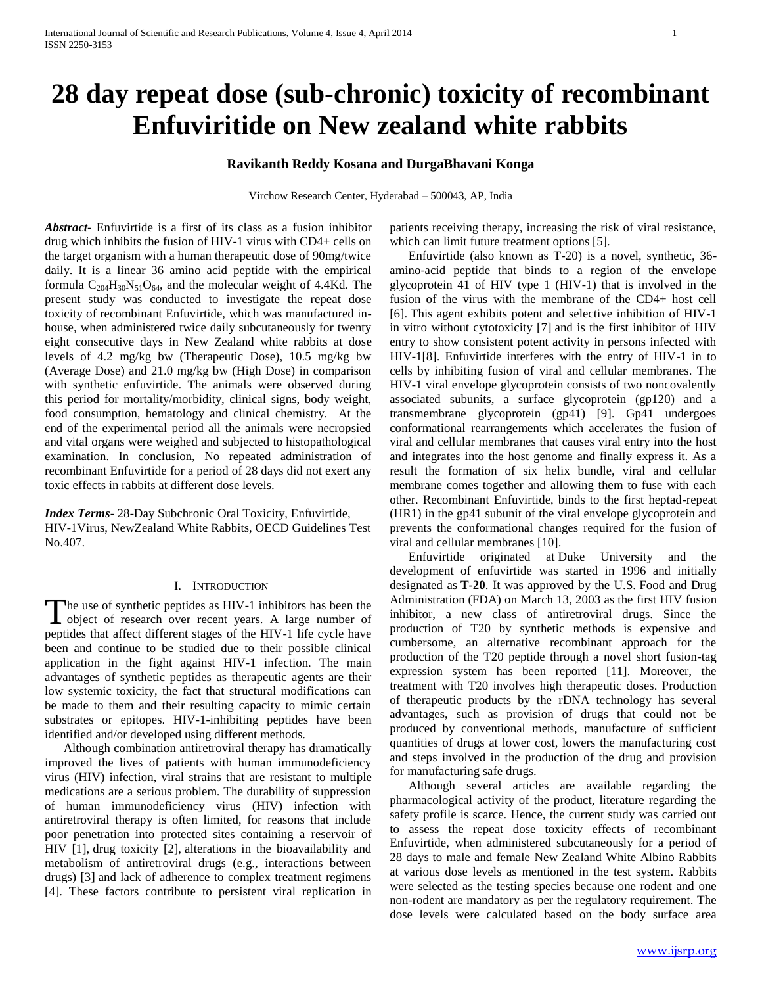# **28 day repeat dose (sub-chronic) toxicity of recombinant Enfuviritide on New zealand white rabbits**

## **Ravikanth Reddy Kosana and DurgaBhavani Konga**

Virchow Research Center, Hyderabad – 500043, AP, India

*Abstract***-** Enfuvirtide is a first of its class as a fusion inhibitor drug which inhibits the fusion of HIV-1 virus with CD4+ cells on the target organism with a human therapeutic dose of 90mg/twice daily. It is a linear 36 amino acid peptide with the empirical formula  $C_{204}H_{30}N_{51}O_{64}$ , and the molecular weight of 4.4Kd. The present study was conducted to investigate the repeat dose toxicity of recombinant Enfuvirtide, which was manufactured inhouse, when administered twice daily subcutaneously for twenty eight consecutive days in New Zealand white rabbits at dose levels of 4.2 mg/kg bw (Therapeutic Dose), 10.5 mg/kg bw (Average Dose) and 21.0 mg/kg bw (High Dose) in comparison with synthetic enfuvirtide. The animals were observed during this period for mortality/morbidity, clinical signs, body weight, food consumption, hematology and clinical chemistry. At the end of the experimental period all the animals were necropsied and vital organs were weighed and subjected to histopathological examination. In conclusion, No repeated administration of recombinant Enfuvirtide for a period of 28 days did not exert any toxic effects in rabbits at different dose levels.

*Index Terms*- 28-Day Subchronic Oral Toxicity, Enfuvirtide, HIV-1Virus, NewZealand White Rabbits, OECD Guidelines Test No.407.

#### I. INTRODUCTION

he use of synthetic peptides as HIV-1 inhibitors has been the The use of synthetic peptides as HIV-1 inhibitors has been the object of research over recent years. A large number of peptides that affect different stages of the HIV-1 life cycle have been and continue to be studied due to their possible clinical application in the fight against HIV-1 infection. The main advantages of synthetic peptides as therapeutic agents are their low systemic toxicity, the fact that structural modifications can be made to them and their resulting capacity to mimic certain substrates or epitopes. HIV-1-inhibiting peptides have been identified and/or developed using different methods.

 Although combination antiretroviral therapy has dramatically improved the lives of patients with human immunodeficiency virus (HIV) infection, viral strains that are resistant to multiple medications are a serious problem. The durability of suppression of human immunodeficiency virus (HIV) infection with antiretroviral therapy is often limited, for reasons that include poor penetration into protected sites containing a reservoir of HIV [1], drug toxicity [2], alterations in the bioavailability and metabolism of antiretroviral drugs (e.g., interactions between drugs) [3] and lack of adherence to complex treatment regimens [4]. These factors contribute to persistent viral replication in patients receiving therapy, increasing the risk of viral resistance, which can limit future treatment options [5].

 Enfuvirtide (also known as T-20) is a novel, synthetic, 36 amino-acid peptide that binds to a region of the envelope glycoprotein 41 of HIV type 1 (HIV-1) that is involved in the fusion of the virus with the membrane of the CD4+ host cell [6]. This agent exhibits potent and selective inhibition of HIV-1 in vitro without cytotoxicity [7] and is the first inhibitor of HIV entry to show consistent potent activity in persons infected with HIV-1[8]. Enfuvirtide interferes with the entry of HIV-1 in to cells by inhibiting fusion of viral and cellular membranes. The HIV-1 viral envelope glycoprotein consists of two noncovalently associated subunits, a surface glycoprotein (gp120) and a transmembrane glycoprotein (gp41) [9]. Gp41 undergoes conformational rearrangements which accelerates the fusion of viral and cellular membranes that causes viral entry into the host and integrates into the host genome and finally express it. As a result the formation of six helix bundle, viral and cellular membrane comes together and allowing them to fuse with each other. Recombinant Enfuvirtide, binds to the first heptad-repeat (HR1) in the gp41 subunit of the viral envelope glycoprotein and prevents the conformational changes required for the fusion of viral and cellular membranes [10].

 Enfuvirtide originated at Duke University and the development of enfuvirtide was started in 1996 and initially designated as **T-20**. It was approved by the U.S. Food and Drug Administration (FDA) on March 13, 2003 as the first HIV fusion inhibitor, a new class of antiretroviral drugs. Since the production of T20 by synthetic methods is expensive and cumbersome, an alternative recombinant approach for the production of the T20 peptide through a novel short fusion-tag expression system has been reported [11]. Moreover, the treatment with T20 involves high therapeutic doses. Production of therapeutic products by the rDNA technology has several advantages, such as provision of drugs that could not be produced by conventional methods, manufacture of sufficient quantities of drugs at lower cost, lowers the manufacturing cost and steps involved in the production of the drug and provision for manufacturing safe drugs.

 Although several articles are available regarding the pharmacological activity of the product, literature regarding the safety profile is scarce. Hence, the current study was carried out to assess the repeat dose toxicity effects of recombinant Enfuvirtide, when administered subcutaneously for a period of 28 days to male and female New Zealand White Albino Rabbits at various dose levels as mentioned in the test system. Rabbits were selected as the testing species because one rodent and one non-rodent are mandatory as per the regulatory requirement. The dose levels were calculated based on the body surface area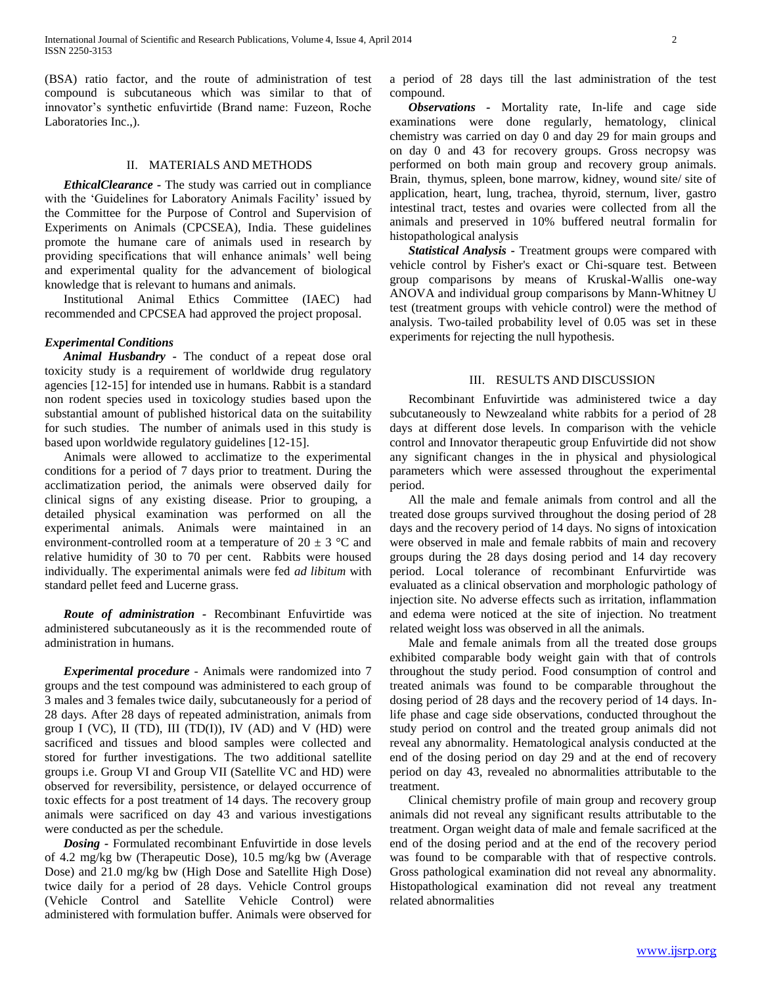(BSA) ratio factor, and the route of administration of test compound is subcutaneous which was similar to that of innovator's synthetic enfuvirtide (Brand name: Fuzeon, Roche Laboratories Inc.,).

### II. MATERIALS AND METHODS

 *EthicalClearance -* The study was carried out in compliance with the 'Guidelines for Laboratory Animals Facility' issued by the Committee for the Purpose of Control and Supervision of Experiments on Animals (CPCSEA), India. These guidelines promote the humane care of animals used in research by providing specifications that will enhance animals' well being and experimental quality for the advancement of biological knowledge that is relevant to humans and animals.

 Institutional Animal Ethics Committee (IAEC) had recommended and CPCSEA had approved the project proposal.

#### *Experimental Conditions*

 *Animal Husbandry -* The conduct of a repeat dose oral toxicity study is a requirement of worldwide drug regulatory agencies [12-15] for intended use in humans. Rabbit is a standard non rodent species used in toxicology studies based upon the substantial amount of published historical data on the suitability for such studies. The number of animals used in this study is based upon worldwide regulatory guidelines [12-15].

 Animals were allowed to acclimatize to the experimental conditions for a period of 7 days prior to treatment. During the acclimatization period, the animals were observed daily for clinical signs of any existing disease. Prior to grouping, a detailed physical examination was performed on all the experimental animals. Animals were maintained in an environment-controlled room at a temperature of  $20 \pm 3$  °C and relative humidity of 30 to 70 per cent. Rabbits were housed individually. The experimental animals were fed *ad libitum* with standard pellet feed and Lucerne grass.

 *Route of administration -* Recombinant Enfuvirtide was administered subcutaneously as it is the recommended route of administration in humans.

 *Experimental procedure* - Animals were randomized into 7 groups and the test compound was administered to each group of 3 males and 3 females twice daily, subcutaneously for a period of 28 days. After 28 days of repeated administration, animals from group I (VC), II (TD), III (TD(I)), IV (AD) and V (HD) were sacrificed and tissues and blood samples were collected and stored for further investigations. The two additional satellite groups i.e. Group VI and Group VII (Satellite VC and HD) were observed for reversibility, persistence, or delayed occurrence of toxic effects for a post treatment of 14 days. The recovery group animals were sacrificed on day 43 and various investigations were conducted as per the schedule.

 *Dosing -* Formulated recombinant Enfuvirtide in dose levels of 4.2 mg/kg bw (Therapeutic Dose), 10.5 mg/kg bw (Average Dose) and 21.0 mg/kg bw (High Dose and Satellite High Dose) twice daily for a period of 28 days. Vehicle Control groups (Vehicle Control and Satellite Vehicle Control) were administered with formulation buffer. Animals were observed for

a period of 28 days till the last administration of the test compound.

 *Observations -* Mortality rate, In-life and cage side examinations were done regularly, hematology, clinical chemistry was carried on day 0 and day 29 for main groups and on day 0 and 43 for recovery groups. Gross necropsy was performed on both main group and recovery group animals. Brain, thymus, spleen, bone marrow, kidney, wound site/ site of application, heart, lung, trachea, thyroid, sternum, liver, gastro intestinal tract, testes and ovaries were collected from all the animals and preserved in 10% buffered neutral formalin for histopathological analysis

 *Statistical Analysis* **-** Treatment groups were compared with vehicle control by Fisher's exact or Chi-square test. Between group comparisons by means of Kruskal-Wallis one-way ANOVA and individual group comparisons by Mann-Whitney U test (treatment groups with vehicle control) were the method of analysis. Two-tailed probability level of 0.05 was set in these experiments for rejecting the null hypothesis.

#### III. RESULTS AND DISCUSSION

 Recombinant Enfuvirtide was administered twice a day subcutaneously to Newzealand white rabbits for a period of 28 days at different dose levels. In comparison with the vehicle control and Innovator therapeutic group Enfuvirtide did not show any significant changes in the in physical and physiological parameters which were assessed throughout the experimental period.

 All the male and female animals from control and all the treated dose groups survived throughout the dosing period of 28 days and the recovery period of 14 days. No signs of intoxication were observed in male and female rabbits of main and recovery groups during the 28 days dosing period and 14 day recovery period. Local tolerance of recombinant Enfurvirtide was evaluated as a clinical observation and morphologic pathology of injection site. No adverse effects such as irritation, inflammation and edema were noticed at the site of injection. No treatment related weight loss was observed in all the animals.

 Male and female animals from all the treated dose groups exhibited comparable body weight gain with that of controls throughout the study period. Food consumption of control and treated animals was found to be comparable throughout the dosing period of 28 days and the recovery period of 14 days. Inlife phase and cage side observations, conducted throughout the study period on control and the treated group animals did not reveal any abnormality. Hematological analysis conducted at the end of the dosing period on day 29 and at the end of recovery period on day 43, revealed no abnormalities attributable to the treatment.

 Clinical chemistry profile of main group and recovery group animals did not reveal any significant results attributable to the treatment. Organ weight data of male and female sacrificed at the end of the dosing period and at the end of the recovery period was found to be comparable with that of respective controls. Gross pathological examination did not reveal any abnormality. Histopathological examination did not reveal any treatment related abnormalities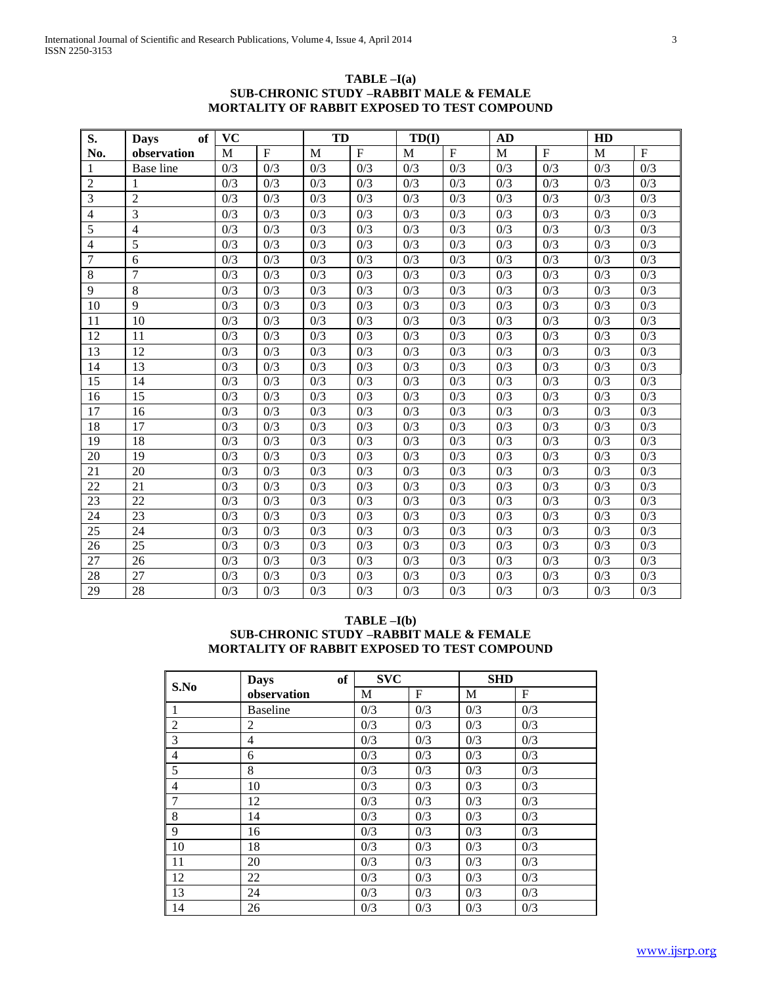## **TABLE –I(a) SUB-CHRONIC STUDY –RABBIT MALE & FEMALE MORTALITY OF RABBIT EXPOSED TO TEST COMPOUND**

| S.             | of<br><b>Days</b> | <b>VC</b>        |                  | <b>TD</b>        |                  | TD(I)            |                  | <b>AD</b>        |                  | HD               |                  |
|----------------|-------------------|------------------|------------------|------------------|------------------|------------------|------------------|------------------|------------------|------------------|------------------|
| No.            | observation       | M                | $\mathbf F$      | M                | $\mathbf F$      | M                | $\mathbf F$      | M                | $\mathbf F$      | M                | $\mathbf F$      |
| 1              | <b>Base</b> line  | 0/3              | 0/3              | 0/3              | 0/3              | 0/3              | 0/3              | 0/3              | 0/3              | 0/3              | 0/3              |
| $\overline{2}$ |                   | 0/3              | 0/3              | 0/3              | 0/3              | 0/3              | 0/3              | 0/3              | 0/3              | 0/3              | 0/3              |
| 3              | $\overline{2}$    | 0/3              | 0/3              | 0/3              | 0/3              | 0/3              | 0/3              | 0/3              | 0/3              | 0/3              | 0/3              |
| $\overline{4}$ | 3                 | 0/3              | 0/3              | 0/3              | 0/3              | 0/3              | 0/3              | 0/3              | 0/3              | 0/3              | 0/3              |
| 5              | $\overline{4}$    | 0/3              | 0/3              | 0/3              | 0/3              | 0/3              | 0/3              | 0/3              | 0/3              | 0/3              | 0/3              |
| $\overline{4}$ | 5                 | 0/3              | 0/3              | 0/3              | 0/3              | 0/3              | 0/3              | 0/3              | 0/3              | 0/3              | 0/3              |
| $\overline{7}$ | 6                 | 0/3              | 0/3              | 0/3              | 0/3              | 0/3              | 0/3              | 0/3              | 0/3              | 0/3              | 0/3              |
| 8              | $\overline{7}$    | 0/3              | 0/3              | 0/3              | 0/3              | 0/3              | 0/3              | 0/3              | 0/3              | 0/3              | 0/3              |
| 9              | 8                 | 0/3              | 0/3              | 0/3              | 0/3              | 0/3              | 0/3              | 0/3              | 0/3              | 0/3              | 0/3              |
| 10             | 9                 | 0/3              | 0/3              | 0/3              | 0/3              | 0/3              | 0/3              | 0/3              | 0/3              | 0/3              | 0/3              |
| 11             | 10                | 0/3              | 0/3              | 0/3              | 0/3              | 0/3              | 0/3              | 0/3              | 0/3              | 0/3              | 0/3              |
| 12             | 11                | 0/3              | 0/3              | 0/3              | 0/3              | 0/3              | 0/3              | 0/3              | 0/3              | 0/3              | 0/3              |
| 13             | 12                | 0/3              | 0/3              | 0/3              | 0/3              | 0/3              | 0/3              | 0/3              | 0/3              | 0/3              | 0/3              |
| 14             | 13                | 0/3              | 0/3              | 0/3              | 0/3              | 0/3              | 0/3              | 0/3              | 0/3              | 0/3              | 0/3              |
| 15             | 14                | 0/3              | 0/3              | 0/3              | 0/3              | 0/3              | 0/3              | 0/3              | 0/3              | 0/3              | 0/3              |
| 16             | 15                | 0/3              | 0/3              | 0/3              | 0/3              | 0/3              | 0/3              | 0/3              | 0/3              | 0/3              | 0/3              |
| 17             | $\overline{16}$   | 0/3              | 0/3              | 0/3              | 0/3              | 0/3              | 0/3              | $0/\overline{3}$ | 0/3              | 0/3              | 0/3              |
| 18             | 17                | 0/3              | 0/3              | 0/3              | 0/3              | 0/3              | 0/3              | 0/3              | 0/3              | 0/3              | 0/3              |
| 19             | 18                | 0/3              | 0/3              | 0/3              | 0/3              | 0/3              | 0/3              | 0/3              | 0/3              | 0/3              | 0/3              |
| 20             | 19                | 0/3              | 0/3              | 0/3              | 0/3              | 0/3              | 0/3              | 0/3              | 0/3              | 0/3              | 0/3              |
| 21             | 20                | 0/3              | 0/3              | 0/3              | 0/3              | 0/3              | 0/3              | 0/3              | 0/3              | 0/3              | 0/3              |
| 22             | $\overline{21}$   | $\overline{0/3}$ | $\overline{0/3}$ | $\overline{0/3}$ | $\overline{0/3}$ | $\overline{0/3}$ | $\overline{0/3}$ | $\overline{0/3}$ | $\overline{0/3}$ | $\overline{0/3}$ | $\overline{0/3}$ |
| 23             | 22                | 0/3              | 0/3              | 0/3              | 0/3              | 0/3              | 0/3              | 0/3              | 0/3              | 0/3              | 0/3              |
| 24             | $\overline{23}$   | 0/3              | 0/3              | 0/3              | 0/3              | 0/3              | 0/3              | 0/3              | 0/3              | 0/3              | 0/3              |
| 25             | 24                | 0/3              | 0/3              | 0/3              | $\overline{0/3}$ | 0/3              | 0/3              | 0/3              | 0/3              | 0/3              | 0/3              |
| 26             | 25                | 0/3              | 0/3              | 0/3              | 0/3              | 0/3              | 0/3              | 0/3              | 0/3              | 0/3              | 0/3              |
| 27             | 26                | 0/3              | 0/3              | 0/3              | 0/3              | 0/3              | 0/3              | 0/3              | 0/3              | 0/3              | 0/3              |
| 28             | $\overline{27}$   | 0/3              | 0/3              | 0/3              | 0/3              | 0/3              | 0/3              | 0/3              | 0/3              | 0/3              | 0/3              |
| 29             | $\overline{28}$   | 0/3              | 0/3              | 0/3              | 0/3              | 0/3              | 0/3              | 0/3              | 0/3              | 0/3              | 0/3              |

## **TABLE –I(b) SUB-CHRONIC STUDY –RABBIT MALE & FEMALE MORTALITY OF RABBIT EXPOSED TO TEST COMPOUND**

|                | <b>of</b><br><b>Days</b> | <b>SVC</b> |     | <b>SHD</b> |     |
|----------------|--------------------------|------------|-----|------------|-----|
| S.No           | observation              | М          | F   | M          | F   |
| 1              | <b>Baseline</b>          | 0/3        | 0/3 | 0/3        | 0/3 |
| $\overline{c}$ | 2                        | 0/3        | 0/3 | 0/3        | 0/3 |
| 3              | 4                        | 0/3        | 0/3 | 0/3        | 0/3 |
| $\overline{4}$ | 6                        | 0/3        | 0/3 | 0/3        | 0/3 |
| 5              | 8                        | 0/3        | 0/3 | 0/3        | 0/3 |
| $\overline{4}$ | 10                       | 0/3        | 0/3 | 0/3        | 0/3 |
| $\overline{7}$ | 12                       | 0/3        | 0/3 | 0/3        | 0/3 |
| 8              | 14                       | 0/3        | 0/3 | 0/3        | 0/3 |
| 9              | 16                       | 0/3        | 0/3 | 0/3        | 0/3 |
| 10             | 18                       | 0/3        | 0/3 | 0/3        | 0/3 |
| 11             | 20                       | 0/3        | 0/3 | 0/3        | 0/3 |
| 12             | 22                       | 0/3        | 0/3 | 0/3        | 0/3 |
| 13             | 24                       | 0/3        | 0/3 | 0/3        | 0/3 |
| 14             | 26                       | 0/3        | 0/3 | 0/3        | 0/3 |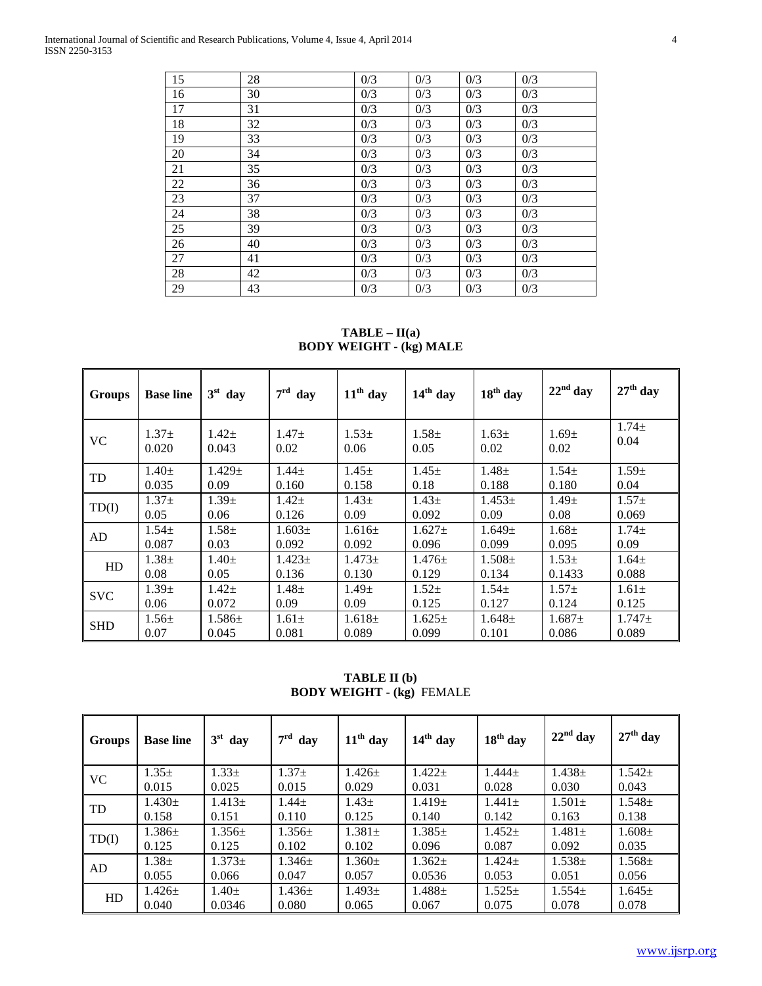| 15 | 28 | 0/3 | 0/3 | 0/3 | 0/3 |
|----|----|-----|-----|-----|-----|
| 16 | 30 | 0/3 | 0/3 | 0/3 | 0/3 |
| 17 | 31 | 0/3 | 0/3 | 0/3 | 0/3 |
| 18 | 32 | 0/3 | 0/3 | 0/3 | 0/3 |
| 19 | 33 | 0/3 | 0/3 | 0/3 | 0/3 |
| 20 | 34 | 0/3 | 0/3 | 0/3 | 0/3 |
| 21 | 35 | 0/3 | 0/3 | 0/3 | 0/3 |
| 22 | 36 | 0/3 | 0/3 | 0/3 | 0/3 |
| 23 | 37 | 0/3 | 0/3 | 0/3 | 0/3 |
| 24 | 38 | 0/3 | 0/3 | 0/3 | 0/3 |
| 25 | 39 | 0/3 | 0/3 | 0/3 | 0/3 |
| 26 | 40 | 0/3 | 0/3 | 0/3 | 0/3 |
| 27 | 41 | 0/3 | 0/3 | 0/3 | 0/3 |
| 28 | 42 | 0/3 | 0/3 | 0/3 | 0/3 |
| 29 | 43 | 0/3 | 0/3 | 0/3 | 0/3 |

**TABLE – II(a) BODY WEIGHT - (kg) MALE**

| <b>Groups</b> | <b>Base line</b> | $3st$ day   | $7^{\rm rd}$<br>day | $11th$ day  | $14th$ day  | $18th$ day  | $22nd$ day  | $27th$ day  |
|---------------|------------------|-------------|---------------------|-------------|-------------|-------------|-------------|-------------|
| <b>VC</b>     | $1.37\pm$        | $1.42 \pm$  | $1.47 \pm$          | $1.53 \pm$  | $1.58 \pm$  | $1.63 \pm$  | $1.69 +$    | $1.74 \pm$  |
|               | 0.020            | 0.043       | 0.02                | 0.06        | 0.05        | 0.02        | 0.02        | 0.04        |
| TD            | $1.40 \pm$       | $1.429 \pm$ | $1.44\pm$           | $1.45 \pm$  | $1.45 \pm$  | $1.48 \pm$  | $1.54 \pm$  | $1.59 \pm$  |
|               | 0.035            | 0.09        | 0.160               | 0.158       | 0.18        | 0.188       | 0.180       | 0.04        |
| TD(I)         | $1.37+$          | $1.39 \pm$  | $1.42\pm$           | $1.43\pm$   | $1.43 \pm$  | $1.453\pm$  | $1.49 \pm$  | $1.57\pm$   |
|               | 0.05             | 0.06        | 0.126               | 0.09        | 0.092       | 0.09        | 0.08        | 0.069       |
| AD            | $1.54 \pm$       | $1.58 \pm$  | $1.603+$            | $1.616 \pm$ | $1.627 \pm$ | $1.649 \pm$ | $1.68\pm$   | $1.74 \pm$  |
|               | 0.087            | 0.03        | 0.092               | 0.092       | 0.096       | 0.099       | 0.095       | 0.09        |
| HD            | $1.38 \pm$       | $1.40 \pm$  | $1.423 \pm$         | $1.473+$    | $1.476 \pm$ | $1.508 \pm$ | $1.53 \pm$  | $1.64 \pm$  |
|               | 0.08             | 0.05        | 0.136               | 0.130       | 0.129       | 0.134       | 0.1433      | 0.088       |
| <b>SVC</b>    | $1.39+$          | $1.42 +$    | $1.48 +$            | $1.49 +$    | $1.52 +$    | $1.54 \pm$  | $1.57+$     | $1.61\pm$   |
|               | 0.06             | 0.072       | 0.09                | 0.09        | 0.125       | 0.127       | 0.124       | 0.125       |
| <b>SHD</b>    | $1.56 \pm$       | $1.586 \pm$ | $1.61\pm$           | $1.618 \pm$ | $1.625 \pm$ | $1.648 \pm$ | $1.687 \pm$ | $1.747 \pm$ |
|               | 0.07             | 0.045       | 0.081               | 0.089       | 0.099       | 0.101       | 0.086       | 0.089       |

**TABLE II (b) BODY WEIGHT - (kg)** FEMALE

| <b>Groups</b> | <b>Base line</b> | $3st$ day   | $7rd$ day   | $11th$ day  | $14th$ day  | $18th$ day  | $22nd$ day  | $27th$ day  |
|---------------|------------------|-------------|-------------|-------------|-------------|-------------|-------------|-------------|
| <b>VC</b>     | $1.35 \pm$       | $1.33 \pm$  | $1.37\pm$   | $1.426+$    | $1.422 \pm$ | $1.444+$    | $1.438 \pm$ | $1.542 \pm$ |
|               | 0.015            | 0.025       | 0.015       | 0.029       | 0.031       | 0.028       | 0.030       | 0.043       |
|               | $1.430 \pm$      | $1.413 \pm$ | $1.44\pm$   | $1.43 \pm$  | $1.419 \pm$ | $1.441 \pm$ | $1.501 \pm$ | $1.548 \pm$ |
| TD            | 0.158            | 0.151       | 0.110       | 0.125       | 0.140       | 0.142       | 0.163       | 0.138       |
| TD(I)         | $1.386 \pm$      | $1.356\pm$  | $1.356 \pm$ | $1.381 \pm$ | $1.385\pm$  | $1.452 \pm$ | $1.481 +$   | $1.608 \pm$ |
|               | 0.125            | 0.125       | 0.102       | 0.102       | 0.096       | 0.087       | 0.092       | 0.035       |
| AD            | $1.38 \pm$       | $1.373+$    | $1.346+$    | $1.360+$    | $1.362 \pm$ | $1.424+$    | $1.538+$    | $1.568 \pm$ |
|               | 0.055            | 0.066       | 0.047       | 0.057       | 0.0536      | 0.053       | 0.051       | 0.056       |
| HD            | $1.426 \pm$      | $1.40 \pm$  | $1.436 \pm$ | $1.493 \pm$ | $1.488 \pm$ | $1.525 \pm$ | $1.554+$    | $1.645 \pm$ |
|               | 0.040            | 0.0346      | 0.080       | 0.065       | 0.067       | 0.075       | 0.078       | 0.078       |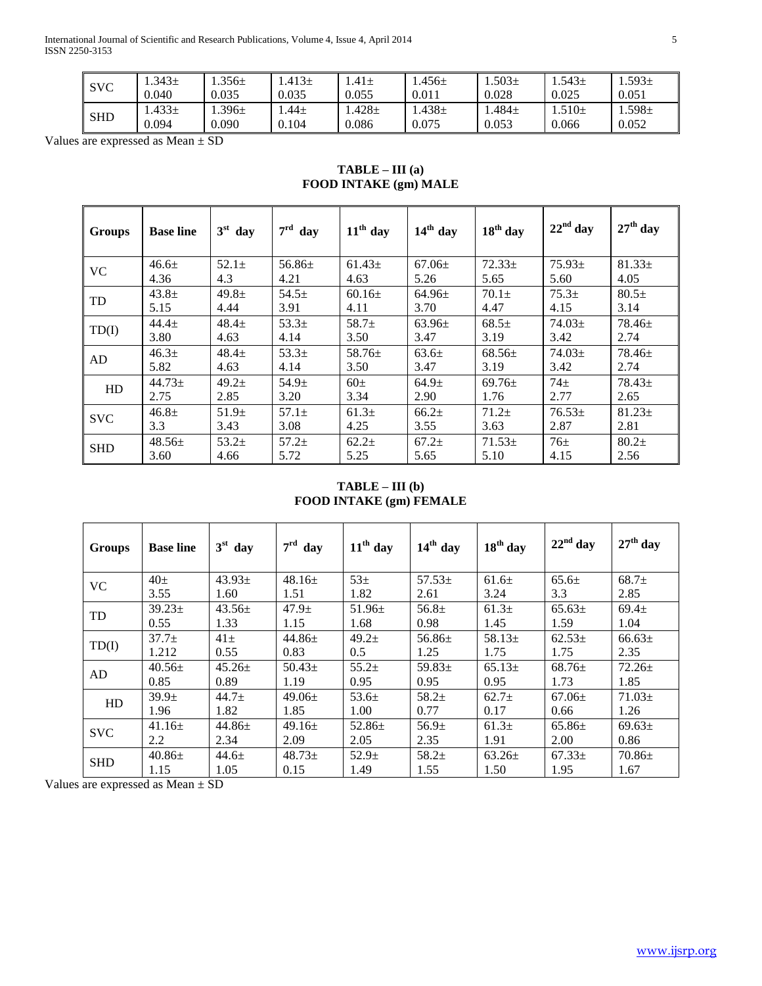International Journal of Scientific and Research Publications, Volume 4, Issue 4, April 2014 5 ISSN 2250-3153

| <b>SVC</b> | .343 <sub>±</sub> | .356 $\pm$ | $1.413 \pm$ | $.41\pm$   | .456 $\pm$        | $.503\pm$  | $.543+$    | .593 <sub>±</sub> |
|------------|-------------------|------------|-------------|------------|-------------------|------------|------------|-------------------|
|            | 0.040             | 0.035      | 0.035       | 0.055      | 0.011             | 0.028      | 0.025      | 0.051             |
| SHD        | $.433\pm$         | $.396 \pm$ | $.44 \pm$   | $.428 \pm$ | .438 <sub>±</sub> | .484 $\pm$ | $.510 \pm$ | .598 $\pm$        |
|            | 0.094             | 0.090      | 0.104       | 0.086      | 0.075             | 0.053      | 0.066      | 0.052             |

Values are expressed as Mean ± SD

## **TABLE – III (a) FOOD INTAKE (gm) MALE**

| <b>Groups</b> | <b>Base line</b>  | $3st$ day         | $7rd$ day         | $11th$ day        | $14th$ day        | $18th$ day | $22nd$ day      | $27th$ day  |
|---------------|-------------------|-------------------|-------------------|-------------------|-------------------|------------|-----------------|-------------|
| <b>VC</b>     | $46.6 \pm$        | $52.1 \pm$        | $56.86\pm$        | $61.43\pm$        | $67.06\pm$        | $72.33+$   | $75.93\pm$      | $81.33 \pm$ |
|               | 4.36              | 4.3               | 4.21              | 4.63              | 5.26              | 5.65       | 5.60            | 4.05        |
| TD            | $43.8 \pm$        | $49.8 \pm$        | $54.5+$           | $60.16+$          | $64.96+$          | $70.1\pm$  | $75.3+$         | $80.5\pm$   |
|               | 5.15              | 4.44              | 3.91              | 4.11              | 3.70              | 4.47       | 4.15            | 3.14        |
| TD(I)         | $44.4+$           | $48.4+$           | $53.3+$           | $58.7+$           | $63.96+$          | $68.5+$    | $74.03+$        | $78.46+$    |
|               | 3.80              | 4.63              | 4.14              | 3.50              | 3.47              | 3.19       | 3.42            | 2.74        |
| AD            | 46.3 <sub>±</sub> | $48.4+$           | 53.3 <sup>±</sup> | $58.76+$          | $63.6+$           | $68.56\pm$ | $74.03+$        | $78.46+$    |
|               | 5.82              | 4.63              | 4.14              | 3.50              | 3.47              | 3.19       | 3.42            | 2.74        |
| HD            | $44.73 \pm$       | $49.2+$           | 54.9 <sub>±</sub> | $60\pm$           | 64.9 <sub>±</sub> | $69.76\pm$ | 74 <sub>±</sub> | $78.43 \pm$ |
|               | 2.75              | 2.85              | 3.20              | 3.34              | 2.90              | 1.76       | 2.77            | 2.65        |
|               | $46.8 +$          | 51.9 <sub>±</sub> | $57.1 \pm$        | 61.3 <sub>±</sub> | $66.2+$           | $71.2 \pm$ | $76.53+$        | $81.23 \pm$ |
| <b>SVC</b>    | 3.3               | 3.43              | 3.08              | 4.25              | 3.55              | 3.63       | 2.87            | 2.81        |
| <b>SHD</b>    | $48.56 \pm$       | $53.2+$           | $57.2+$           | 62.2 <sub>±</sub> | $67.2+$           | $71.53+$   | 76 <sub>±</sub> | $80.2+$     |
|               | 3.60              | 4.66              | 5.72              | 5.25              | 5.65              | 5.10       | 4.15            | 2.56        |

**TABLE – III (b) FOOD INTAKE (gm) FEMALE**

| <b>Groups</b> | <b>Base line</b>  | $3st$ day   | $7rd$ day         | $11th$ day        | $14th$ day        | $18th$ day        | $22nd$ day | $27th$ day  |
|---------------|-------------------|-------------|-------------------|-------------------|-------------------|-------------------|------------|-------------|
| <b>VC</b>     | $40\pm$           | $43.93\pm$  | $48.16 \pm$       | $53\pm$           | $57.53\pm$        | 61.6±             | $65.6\pm$  | $68.7+$     |
|               | 3.55              | 1.60        | 1.51              | 1.82              | 2.61              | 3.24              | 3.3        | 2.85        |
| TD            | $39.23 \pm$       | $43.56\pm$  | 47.9 <sub>±</sub> | $51.96\pm$        | 56.8 <sub>±</sub> | 61.3 <sub>±</sub> | $65.63\pm$ | $69.4 \pm$  |
|               | 0.55              | 1.33        | 1.15              | 1.68              | 0.98              | 1.45              | 1.59       | 1.04        |
| TD(I)         | 37.7 <sub>±</sub> | $41\pm$     | $44.86 \pm$       | 49.2 <sub>±</sub> | 56.86 $\pm$       | $58.13+$          | $62.53+$   | $66.63\pm$  |
|               | 1.212             | 0.55        | 0.83              | 0.5               | 1.25              | 1.75              | 1.75       | 2.35        |
| AD            | $40.56\pm$        | $45.26 \pm$ | $50.43\pm$        | $55.2+$           | 59.83 $\pm$       | $65.13+$          | $68.76\pm$ | $72.26 \pm$ |
|               | 0.85              | 0.89        | 1.19              | 0.95              | 0.95              | 0.95              | 1.73       | 1.85        |
| HD            | 39.9 <sub>±</sub> | $44.7 \pm$  | $49.06\pm$        | $53.6\pm$         | $58.2+$           | 62.7 <sub>±</sub> | $67.06+$   | $71.03 \pm$ |
|               | 1.96              | 1.82        | 1.85              | 1.00              | 0.77              | 0.17              | 0.66       | 1.26        |
| <b>SVC</b>    | $41.16 \pm$       | $44.86 \pm$ | $49.16 \pm$       | 52.86 $\pm$       | 56.9 <sub>±</sub> | 61.3 <sub>±</sub> | $65.86+$   | $69.63 \pm$ |
|               | 2.2               | 2.34        | 2.09              | 2.05              | 2.35              | 1.91              | 2.00       | 0.86        |
| <b>SHD</b>    | $40.86\pm$        | $44.6 \pm$  | $48.73 \pm$       | 52.9 <sub>±</sub> | $58.2+$           | $63.26 \pm$       | $67.33\pm$ | $70.86 \pm$ |
|               | 1.15              | 1.05        | 0.15              | 1.49              | 1.55              | 1.50              | 1.95       | 1.67        |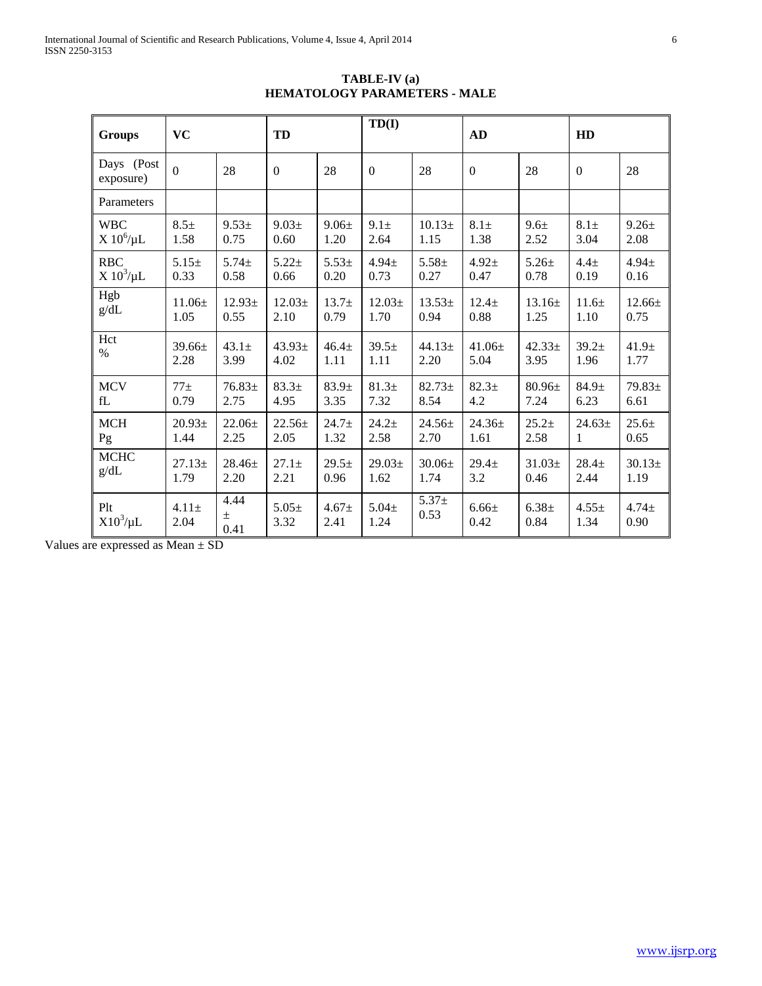| <b>Groups</b>           | <b>VC</b>          |                       | TD                |                   | TD(I)              |                    | <b>AD</b>          |                  | HD                 |                   |
|-------------------------|--------------------|-----------------------|-------------------|-------------------|--------------------|--------------------|--------------------|------------------|--------------------|-------------------|
| Days (Post<br>exposure) | $\overline{0}$     | 28                    | $\mathbf{0}$      | 28                | $\boldsymbol{0}$   | 28                 | $\boldsymbol{0}$   | 28               | $\mathbf{0}$       | 28                |
| Parameters              |                    |                       |                   |                   |                    |                    |                    |                  |                    |                   |
| <b>WBC</b>              | $8.5 \pm$          | $9.53 \pm$            | $9.03 \pm$        | $9.06 \pm$        | $9.1 \pm$          | 10.13 <sup>±</sup> | $8.1 \pm$          | 9.6 <sub>±</sub> | $8.1 \pm$          | $9.26 \pm$        |
| $X 10^6/\mu L$          | 1.58               | 0.75                  | 0.60              | 1.20              | 2.64               | 1.15               | 1.38               | 2.52             | 3.04               | 2.08              |
| <b>RBC</b>              | $5.15+$            | $5.74 \pm$            | $5.22+$           | $5.53+$           | $4.94 \pm$         | $5.58 +$           | $4.92 +$           | $5.26 \pm$       | 4.4 <sub>±</sub>   | $4.94 \pm$        |
| $X 10^3/\mu L$          | 0.33               | 0.58                  | 0.66              | 0.20              | 0.73               | 0.27               | 0.47               | 0.78             | 0.19               | 0.16              |
| Hgb                     | $11.06 \pm$        | $12.93+$              | $12.03+$          | $13.7+$           | $12.03\pm$         | $13.53+$           | $12.4\pm$          | $13.16 \pm$      | 11.6±              | $12.66 \pm$       |
| g/dL                    | 1.05               | 0.55                  | 2.10              | 0.79              | 1.70               | 0.94               | 0.88               | 1.25             | 1.10               | 0.75              |
| Hct                     | $39.66 \pm$        | $43.1 \pm$            | $43.93 \pm$       | 46.4 <sub>±</sub> | 39.5±              | $44.13+$           | $41.06 \pm$        | $42.33+$         | $39.2+$            | 41.9 <sub>±</sub> |
| $\%$                    | 2.28               | 3.99                  | 4.02              | 1.11              | 1.11               | 2.20               | 5.04               | 3.95             | 1.96               | 1.77              |
| <b>MCV</b>              | $77+$              | $76.83 \pm$           | 83.3 <sup>±</sup> | $83.9+$           | 81.3 <sub>±</sub>  | $82.73+$           | $82.3+$            | $80.96\pm$       | $84.9 \pm$         | $79.83 \pm$       |
| fL                      | 0.79               | 2.75                  | 4.95              | 3.35              | 7.32               | 8.54               | 4.2                | 7.24             | 6.23               | 6.61              |
| <b>MCH</b>              | 20.93 <sub>±</sub> | $22.06 \pm$           | $22.56 \pm$       | $24.7+$           | $24.2+$            | $24.56 \pm$        | $24.36 \pm$        | $25.2+$          | $24.63 \pm$        | $25.6+$           |
| Pg                      | 1.44               | 2.25                  | 2.05              | 1.32              | 2.58               | 2.70               | 1.61               | 2.58             | 1                  | 0.65              |
| <b>MCHC</b>             | $27.13+$           | $28.46 \pm$           | $27.1 \pm$        | $29.5+$           | $29.03\pm$         | $30.06 \pm$        | $29.4 +$           | $31.03 \pm$      | $28.4 +$           | $30.13+$          |
| g/dL                    | 1.79               | 2.20                  | 2.21              | 0.96              | 1.62               | 1.74               | 3.2                | 0.46             | 2.44               | 1.19              |
| Plt<br>$X10^3/\mu L$    | $4.11\pm$<br>2.04  | 4.44<br>$\pm$<br>0.41 | $5.05+$<br>3.32   | $4.67 +$<br>2.41  | $5.04 \pm$<br>1.24 | $5.37+$<br>0.53    | $6.66 \pm$<br>0.42 | $6.38 +$<br>0.84 | $4.55 \pm$<br>1.34 | $4.74 +$<br>0.90  |

**TABLE-IV (a) HEMATOLOGY PARAMETERS - MALE**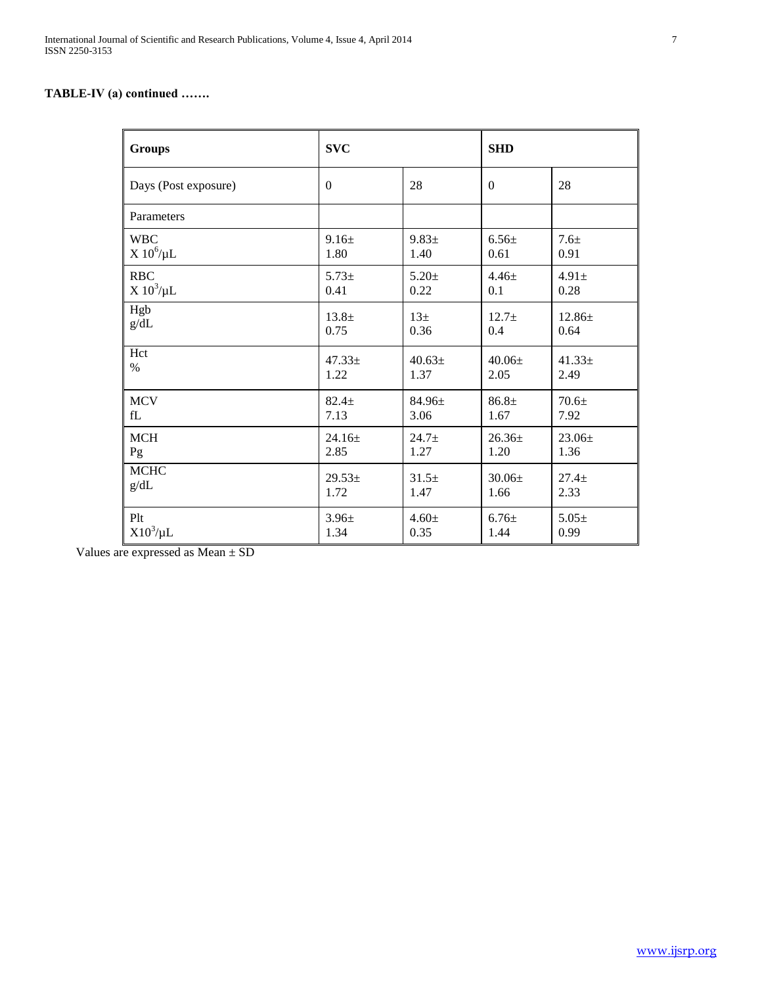# **TABLE-IV (a) continued …….**

| <b>Groups</b>        | <b>SVC</b>   |                 | <b>SHD</b>   |                  |
|----------------------|--------------|-----------------|--------------|------------------|
| Days (Post exposure) | $\mathbf{0}$ | 28              | $\mathbf{0}$ | 28               |
| Parameters           |              |                 |              |                  |
| <b>WBC</b>           | $9.16 \pm$   | $9.83 \pm$      | $6.56\pm$    | 7.6 <sub>±</sub> |
| $X 10^6/\mu L$       | 1.80         | 1.40            | 0.61         | 0.91             |
| <b>RBC</b>           | $5.73+$      | $5.20 \pm$      | $4.46\pm$    | $4.91 \pm$       |
| $X 10^3/\mu L$       | 0.41         | 0.22            | 0.1          | 0.28             |
| Hgb                  | $13.8 \pm$   | 13 <sup>±</sup> | $12.7+$      | $12.86 \pm$      |
| g/dL                 | 0.75         | 0.36            | 0.4          | 0.64             |
| Hct                  | $47.33 \pm$  | $40.63 \pm$     | $40.06\pm$   | $41.33 \pm$      |
| $\%$                 | 1.22         | 1.37            | 2.05         | 2.49             |
| <b>MCV</b>           | $82.4+$      | $84.96 \pm$     | $86.8+$      | $70.6+$          |
| fL                   | 7.13         | 3.06            | 1.67         | 7.92             |
| <b>MCH</b>           | $24.16 \pm$  | $24.7+$         | $26.36\pm$   | $23.06 \pm$      |
| Pg                   | 2.85         | 1.27            | 1.20         | 1.36             |
| <b>MCHC</b>          | $29.53 \pm$  | $31.5+$         | $30.06+$     | $27.4+$          |
| g/dL                 | 1.72         | 1.47            | 1.66         | 2.33             |
| Plt                  | $3.96 \pm$   | $4.60 \pm$      | $6.76 \pm$   | $5.05 \pm$       |
| $X10^3/\mu L$        | 1.34         | 0.35            | 1.44         | 0.99             |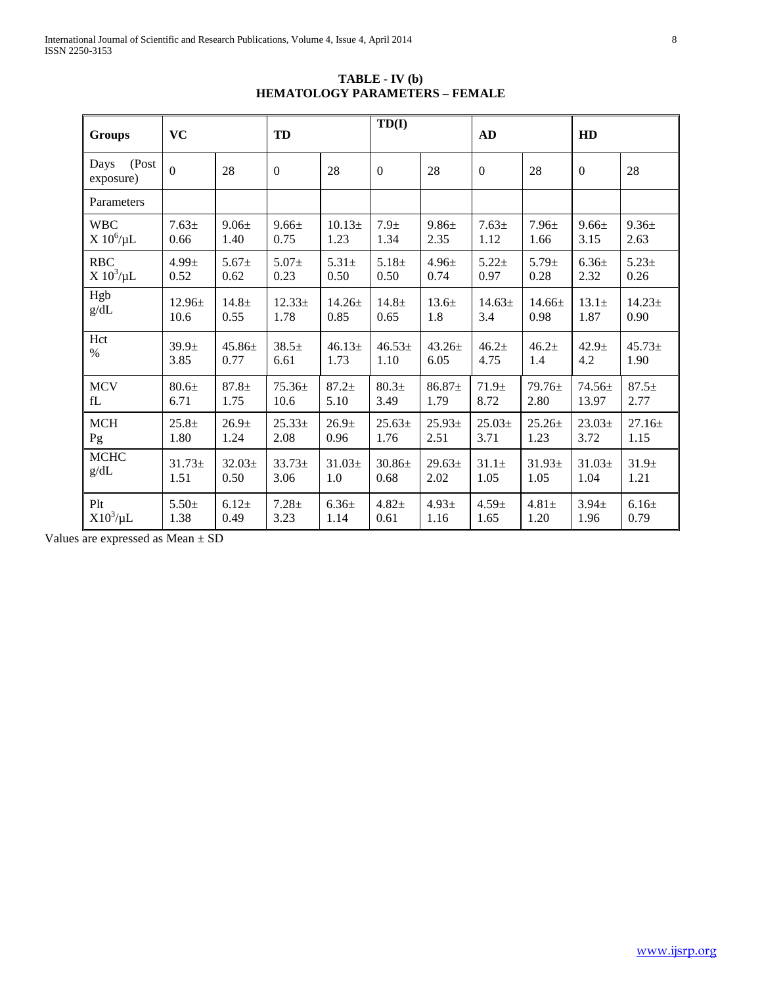| <b>Groups</b>              | <b>VC</b>         |                   | TD             |                   | TD(I)             |             | AD                |             | HD                |                   |
|----------------------------|-------------------|-------------------|----------------|-------------------|-------------------|-------------|-------------------|-------------|-------------------|-------------------|
| (Post<br>Days<br>exposure) | $\overline{0}$    | 28                | $\overline{0}$ | 28                | $\boldsymbol{0}$  | 28          | $\boldsymbol{0}$  | 28          | $\boldsymbol{0}$  | 28                |
| Parameters                 |                   |                   |                |                   |                   |             |                   |             |                   |                   |
| <b>WBC</b>                 | $7.63 \pm$        | $9.06 \pm$        | $9.66 \pm$     | 10.13±            | 7.9 <sub>±</sub>  | $9.86 \pm$  | $7.63 \pm$        | $7.96 \pm$  | $9.66 \pm$        | $9.36 \pm$        |
| $X 10^6/\mu L$             | 0.66              | 1.40              | 0.75           | 1.23              | 1.34              | 2.35        | 1.12              | 1.66        | 3.15              | 2.63              |
| <b>RBC</b>                 | $4.99 +$          | $5.67 \pm$        | $5.07\pm$      | $5.31 \pm$        | $5.18+$           | $4.96 \pm$  | $5.22+$           | $5.79 \pm$  | $6.36\pm$         | $5.23 \pm$        |
| $X 10^3/\mu L$             | 0.52              | 0.62              | 0.23           | 0.50              | 0.50              | 0.74        | 0.97              | 0.28        | 2.32              | 0.26              |
| Hgb                        | $12.96 \pm$       | $14.8 \pm$        | $12.33+$       | $14.26 \pm$       | $14.8 \pm$        | $13.6\pm$   | $14.63 \pm$       | $14.66 \pm$ | $13.1\pm$         | $14.23 \pm$       |
| g/dL                       | 10.6              | 0.55              | 1.78           | 0.85              | 0.65              | 1.8         | 3.4               | 0.98        | 1.87              | 0.90              |
| Hct                        | 39.9 <sub>±</sub> | $45.86\pm$        | $38.5+$        | 46.13±            | $46.53+$          | $43.26 \pm$ | $46.2+$           | $46.2+$     | 42.9 <sub>±</sub> | $45.73+$          |
| $\%$                       | 3.85              | 0.77              | 6.61           | 1.73              | 1.10              | 6.05        | 4.75              | 1.4         | 4.2               | 1.90              |
| <b>MCV</b>                 | 80.6 <sub>±</sub> | $87.8+$           | $75.36 \pm$    | $87.2+$           | 80.3 <sub>±</sub> | $86.87\pm$  | 71.9 <sub>±</sub> | 79.76±      | 74.56±            | $87.5 \pm$        |
| fL                         | 6.71              | 1.75              | 10.6           | 5.10              | 3.49              | 1.79        | 8.72              | 2.80        | 13.97             | 2.77              |
| <b>MCH</b>                 | $25.8 +$          | 26.9 <sub>±</sub> | $25.33+$       | 26.9 <sub>±</sub> | $25.63+$          | $25.93+$    | $25.03+$          | $25.26 \pm$ | $23.03+$          | $27.16 \pm$       |
| Pg                         | 1.80              | 1.24              | 2.08           | 0.96              | 1.76              | 2.51        | 3.71              | 1.23        | 3.72              | 1.15              |
| <b>MCHC</b>                | $31.73 \pm$       | $32.03\pm$        | $33.73+$       | $31.03 \pm$       | $30.86 \pm$       | $29.63 \pm$ | $31.1 \pm$        | $31.93 \pm$ | $31.03 \pm$       | 31.9 <sub>±</sub> |
| g/dL                       | 1.51              | 0.50              | 3.06           | 1.0               | 0.68              | 2.02        | 1.05              | 1.05        | 1.04              | 1.21              |
| Plt                        | $5.50+$           | $6.12+$           | $7.28 +$       | $6.36\pm$         | $4.82 +$          | $4.93 \pm$  | $4.59 \pm$        | $4.81 \pm$  | $3.94 \pm$        | 6.16±             |
| $X10^3/\mu L$              | 1.38              | 0.49              | 3.23           | 1.14              | 0.61              | 1.16        | 1.65              | 1.20        | 1.96              | 0.79              |

**TABLE - IV (b) HEMATOLOGY PARAMETERS – FEMALE**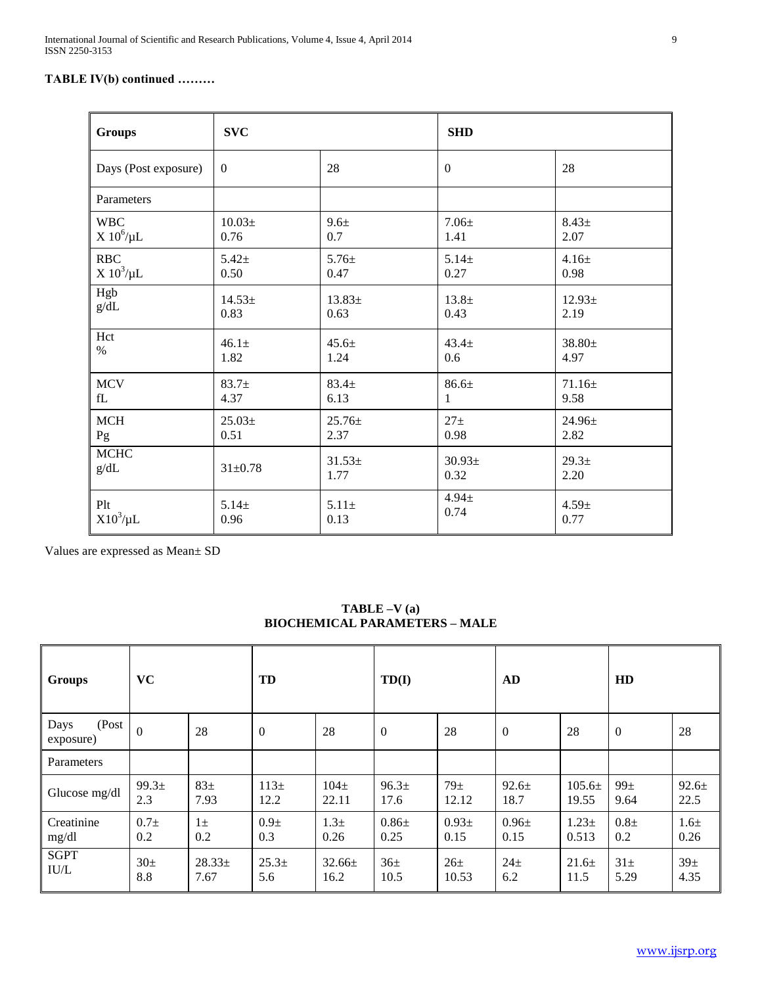# **TABLE IV(b) continued ………**

| <b>Groups</b>        | <b>SVC</b>     |             | <b>SHD</b>      |                   |
|----------------------|----------------|-------------|-----------------|-------------------|
| Days (Post exposure) | $\overline{0}$ | 28          | $\overline{0}$  | 28                |
| Parameters           |                |             |                 |                   |
| <b>WBC</b>           | $10.03\pm$     | 9.6±        | $7.06\pm$       | $8.43 \pm$        |
| $X 10^6/\mu L$       | 0.76           | 0.7         | 1.41            | 2.07              |
| <b>RBC</b>           | $5.42+$        | $5.76 \pm$  | $5.14 \pm$      | $4.16 \pm$        |
| $X 10^3/\mu L$       | 0.50           | 0.47        | 0.27            | 0.98              |
| Hgb                  | $14.53+$       | $13.83\pm$  | $13.8 +$        | $12.93 \pm$       |
| g/dL                 | 0.83           | 0.63        | 0.43            | 2.19              |
| Hct                  | $46.1 \pm$     | $45.6 \pm$  | $43.4 \pm$      | $38.80 \pm$       |
| $\%$                 | 1.82           | 1.24        | 0.6             | 4.97              |
| <b>MCV</b>           | $83.7 +$       | $83.4 \pm$  | 86.6±           | $71.16 \pm$       |
| fL                   | 4.37           | 6.13        | 1               | 9.58              |
| MCH                  | $25.03\pm$     | $25.76 \pm$ | 27 <sub>±</sub> | 24.96±            |
| Pg                   | 0.51           | 2.37        | 0.98            | 2.82              |
| <b>MCHC</b>          | $31 \pm 0.78$  | $31.53 \pm$ | $30.93\pm$      | 29.3 <sub>±</sub> |
| g/dL                 |                | 1.77        | 0.32            | 2.20              |
| Plt                  | $5.14 \pm$     | $5.11 \pm$  | $4.94 \pm$      | $4.59 \pm$        |
| $X10^3/\mu L$        | 0.96           | 0.13        | 0.74            | 0.77              |

Values are expressed as Mean± SD

| <b>Groups</b>              | <b>VC</b>         |            | TD                |                  | TD(I)             |                 | AD               |            | HD              |                 |
|----------------------------|-------------------|------------|-------------------|------------------|-------------------|-----------------|------------------|------------|-----------------|-----------------|
| (Post<br>Days<br>exposure) | $\overline{0}$    | 28         | $\mathbf{0}$      | 28               | $\boldsymbol{0}$  | 28              | $\boldsymbol{0}$ | 28         | $\mathbf{0}$    | 28              |
| Parameters                 |                   |            |                   |                  |                   |                 |                  |            |                 |                 |
| Glucose mg/dl              | 99.3 <sub>±</sub> | $83\pm$    | $113\pm$          | $104\pm$         | 96.3 <sub>±</sub> | 79 <sub>±</sub> | $92.6 \pm$       | $105.6\pm$ | 99 <sub>±</sub> | $92.6\pm$       |
|                            | 2.3               | 7.93       | 12.2              | 22.11            | 17.6              | 12.12           | 18.7             | 19.55      | 9.64            | 22.5            |
| Creatinine                 | $0.7\pm$          | $1\pm$     | $0.9\pm$          | 1.3 <sup>±</sup> | $0.86\pm$         | $0.93\pm$       | $0.96\pm$        | $1.23 +$   | $0.8\pm$        | $1.6\pm$        |
| mg/dl                      | 0.2               | 0.2        | 0.3               | 0.26             | 0.25              | 0.15            | 0.15             | 0.513      | 0.2             | 0.26            |
| <b>SGPT</b>                | $30\pm$           | $28.33\pm$ | 25.3 <sub>±</sub> | $32.66 \pm$      | 36 <sub>±</sub>   | 26 <sub>±</sub> | 24 <sub>±</sub>  | $21.6+$    | $31\pm$         | 39 <sub>±</sub> |
| IU/L                       | 8.8               | 7.67       | 5.6               | 16.2             | 10.5              | 10.53           | 6.2              | 11.5       | 5.29            | 4.35            |

# **TABLE –V (a) BIOCHEMICAL PARAMETERS – MALE**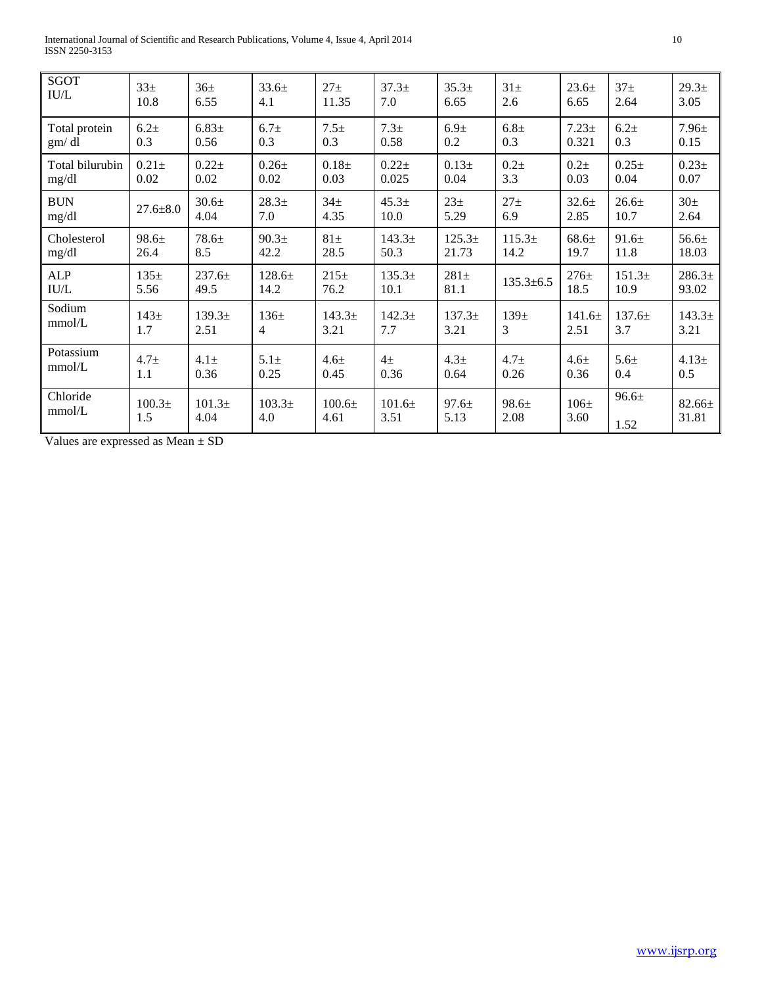International Journal of Scientific and Research Publications, Volume 4, Issue 4, April 2014 10 ISSN 2250-3153

| <b>SGOT</b>                | 33 <sup>±</sup>    | 36 <sub>±</sub>    | 33.6±              | $27\pm$            | $37.3+$            | $35.3+$            | $31\pm$          | $23.6+$  | 37 <sub>±</sub>    | 29.3 <sub>±</sub>  |
|----------------------------|--------------------|--------------------|--------------------|--------------------|--------------------|--------------------|------------------|----------|--------------------|--------------------|
| $\ensuremath{\text{IU/L}}$ | 10.8               | 6.55               | 4.1                | 11.35              | 7.0                | 6.65               | 2.6              | 6.65     | 2.64               | 3.05               |
| Total protein              | $6.2\pm$           | $6.83 \pm$         | 6.7 <sub>±</sub>   | $7.5 \pm$          | 7.3 <sub>±</sub>   | 6.9 <sub>±</sub>   | 6.8 <sub>±</sub> | $7.23+$  | 6.2 <sub>±</sub>   | $7.96 \pm$         |
| gm/dl                      | 0.3                | 0.56               | 0.3                | 0.3                | 0.58               | 0.2                | 0.3              | 0.321    | 0.3                | 0.15               |
| Total bilurubin            | $0.21 \pm$         | $0.22 +$           | $0.26\pm$          | $0.18 +$           | $0.22 +$           | $0.13+$            | $0.2\pm$         | $0.2\pm$ | $0.25 \pm$         | $0.23 \pm$         |
| mg/dl                      | 0.02               | 0.02               | 0.02               | 0.03               | 0.025              | 0.04               | 3.3              | 0.03     | 0.04               | 0.07               |
| <b>BUN</b>                 | $27.6 \pm 8.0$     | 30.6 <sub>±</sub>  | $28.3+$            | 34 <sub>±</sub>    | 45.3 <sub>±</sub>  | $23\pm$            | 27 <sub>±</sub>  | $32.6+$  | $26.6+$            | 30 <sub>±</sub>    |
| mg/dl                      |                    | 4.04               | 7.0                | 4.35               | 10.0               | 5.29               | 6.9              | 2.85     | 10.7               | 2.64               |
| Cholesterol                | 98.6±              | $78.6 \pm$         | 90.3 <sub>±</sub>  | $81\pm$            | 143.3 <sup>±</sup> | 125.3 <sup>±</sup> | $115.3\pm$       | 68.6±    | 91.6±              | 56.6±              |
| mg/dl                      | 26.4               | 8.5                | 42.2               | 28.5               | 50.3               | 21.73              | 14.2             | 19.7     | 11.8               | 18.03              |
| <b>ALP</b>                 | $135\pm$           | $237.6 \pm$        | $128.6 \pm$        | 215±               | 135.3 <sup>±</sup> | $281\pm$           | $135.3 \pm 6.5$  | $276 +$  | 151.3 <sup>±</sup> | 286.3 <sup>±</sup> |
| $\ensuremath{\text{IU/L}}$ | 5.56               | 49.5               | 14.2               | 76.2               | 10.1               | 81.1               |                  | 18.5     | 10.9               | 93.02              |
| Sodium                     | $143\pm$           | 139.3 <sup>±</sup> | $136\pm$           | 143.3 <sup>±</sup> | $142.3+$           | 137.3 <sup>±</sup> | 139 <sub>±</sub> | 141.6±   | $137.6 \pm$        | $143.3+$           |
| $mmol/L$                   | 1.7                | 2.51               | 4                  | 3.21               | 7.7                | 3.21               | 3                | 2.51     | 3.7                | 3.21               |
| Potassium                  | 4.7 <sub>±</sub>   | $4.1\pm$           | $5.1\pm$           | $4.6\pm$           | $4\pm$             | 4.3 <sub>±</sub>   | 4.7 <sub>±</sub> | $4.6\pm$ | $5.6 +$            | $4.13+$            |
| mmol/L                     | 1.1                | 0.36               | 0.25               | 0.45               | 0.36               | 0.64               | 0.26             | 0.36     | 0.4                | 0.5                |
| Chloride                   | 100.3 <sub>±</sub> | 101.3 <sup>±</sup> | 103.3 <sup>±</sup> | $100.6\pm$         | 101.6±             | $97.6 \pm$         | 98.6±            | $106\pm$ | 96.6±              | $82.66 \pm$        |
| mmol/L                     | 1.5                | 4.04               | 4.0                | 4.61               | 3.51               | 5.13               | 2.08             | 3.60     | 1.52               | 31.81              |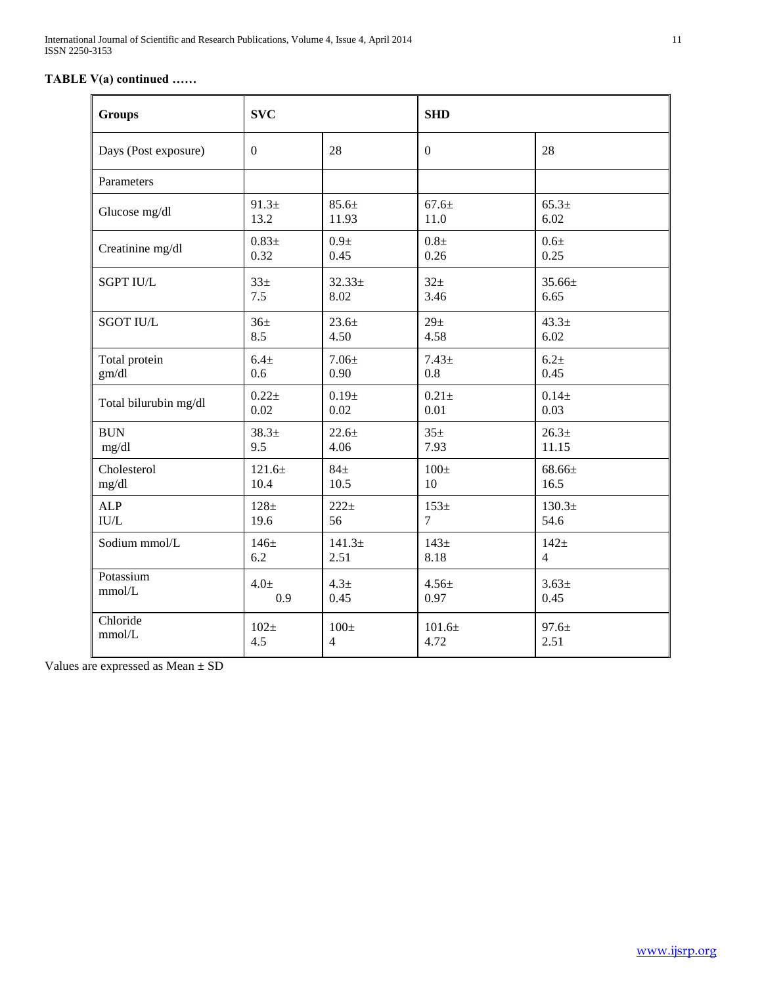# **TABLE V(a) continued ……**

| <b>Groups</b>                | <b>SVC</b>        |                    | <b>SHD</b>       |                    |  |  |
|------------------------------|-------------------|--------------------|------------------|--------------------|--|--|
| Days (Post exposure)         | $\Omega$          | 28                 | $\overline{0}$   | 28                 |  |  |
| Parameters                   |                   |                    |                  |                    |  |  |
| Glucose mg/dl                | 91.3±             | $85.6\pm$          | $67.6 \pm$       | $65.3+$            |  |  |
|                              | 13.2              | 11.93              | 11.0             | 6.02               |  |  |
| Creatinine mg/dl             | $0.83 +$          | 0.9 <sub>±</sub>   | 0.8 <sub>±</sub> | $0.6\pm$           |  |  |
|                              | 0.32              | 0.45               | 0.26             | 0.25               |  |  |
| <b>SGPT IU/L</b>             | $33\pm$           | 32.33 <sup>±</sup> | 32 <sub>±</sub>  | 35.66±             |  |  |
|                              | 7.5               | 8.02               | 3.46             | 6.65               |  |  |
| <b>SGOT IU/L</b>             | 36 <sup>±</sup>   | $23.6 +$           | 29 <sub>±</sub>  | 43.3 <sup>±</sup>  |  |  |
|                              | 8.5               | 4.50               | 4.58             | 6.02               |  |  |
| Total protein                | 6.4 <sub>±</sub>  | $7.06 \pm$         | $7.43+$          | $6.2 +$            |  |  |
| gm/dl                        | 0.6               | 0.90               | 0.8              | 0.45               |  |  |
| Total bilurubin mg/dl        | $0.22 +$          | 0.19±              | $0.21 \pm$       | $0.14 +$           |  |  |
|                              | 0.02              | 0.02               | 0.01             | 0.03               |  |  |
| <b>BUN</b>                   | 38.3 <sup>±</sup> | $22.6 +$           | 35 <sup>±</sup>  | 26.3 <sup>±</sup>  |  |  |
| mg/dl                        | 9.5               | 4.06               | 7.93             | 11.15              |  |  |
| Cholesterol                  | $121.6+$          | $84\pm$            | $100\pm$         | 68.66±             |  |  |
| mg/dl                        | 10.4              | 10.5               | 10               | 16.5               |  |  |
| <b>ALP</b>                   | $128\pm$          | $222+$             | $153\pm$         | 130.3 <sup>±</sup> |  |  |
| $\ensuremath{\mathrm{IU/L}}$ | 19.6              | 56                 | $\overline{7}$   | 54.6               |  |  |
| Sodium mmol/L                | $146\pm$          | 141.3 <sup>±</sup> | 143 <sub>±</sub> | $142\pm$           |  |  |
|                              | 6.2               | 2.51               | 8.18             | $\overline{4}$     |  |  |
| Potassium                    | $4.0\pm$          | 4.3 <sub>±</sub>   | $4.56 \pm$       | $3.63+$            |  |  |
| mmol/L                       | 0.9               | 0.45               | 0.97             | 0.45               |  |  |
| Chloride                     | $102\pm$          | $100\pm$           | 101.6±           | $97.6 \pm$         |  |  |
| mmol/L                       | 4.5               | $\overline{4}$     | 4.72             | 2.51               |  |  |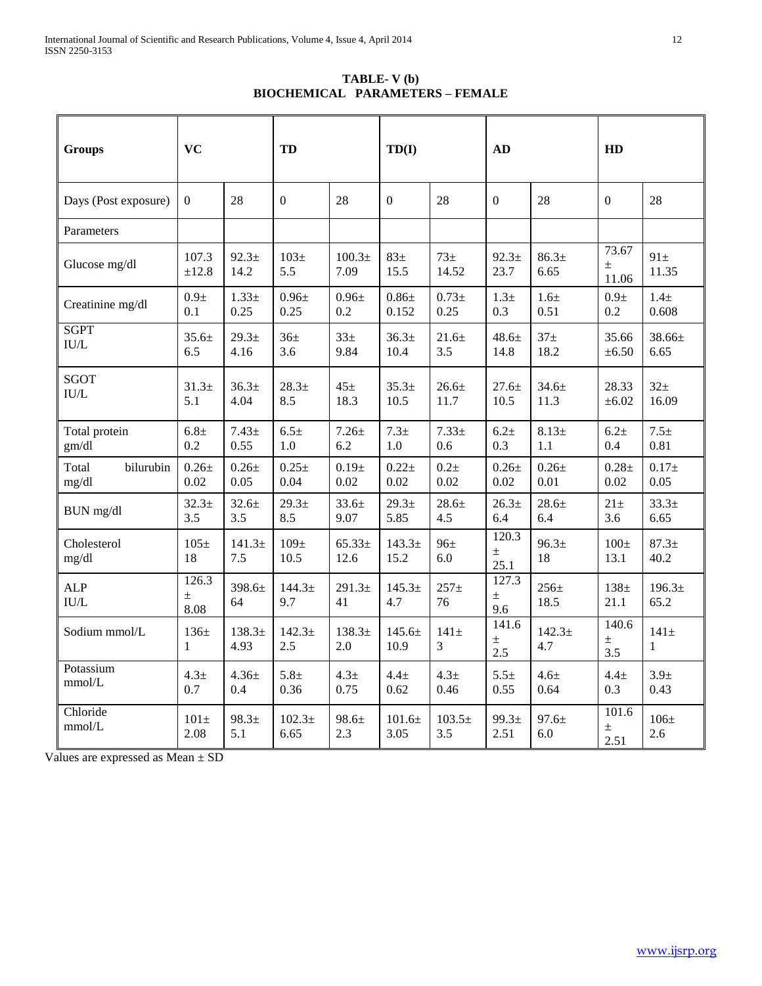**TABLE- V (b) BIOCHEMICAL PARAMETERS – FEMALE**

| <b>Groups</b>                                    | <b>VC</b>                |                            | TD                       |                            | TD(I)                      |                          | AD                        |                           | HD                       |                            |
|--------------------------------------------------|--------------------------|----------------------------|--------------------------|----------------------------|----------------------------|--------------------------|---------------------------|---------------------------|--------------------------|----------------------------|
| Days (Post exposure)                             | $\Omega$                 | 28                         | $\Omega$                 | 28                         | $\Omega$                   | 28                       | $\Omega$                  | 28                        | $\Omega$                 | 28                         |
| Parameters                                       |                          |                            |                          |                            |                            |                          |                           |                           |                          |                            |
| Glucose mg/dl                                    | 107.3<br>±12.8           | 92.3 <sub>±</sub><br>14.2  | $103\pm$<br>5.5          | 100.3 <sub>±</sub><br>7.09 | $83\pm$<br>15.5            | 73 <sub>±</sub><br>14.52 | $92.3+$<br>23.7           | 86.3 <sub>±</sub><br>6.65 | 73.67<br>$\pm$<br>11.06  | $91\pm$<br>11.35           |
| Creatinine mg/dl                                 | 0.9 <sub>±</sub><br>0.1  | $1.33+$<br>0.25            | $0.96\pm$<br>0.25        | $0.96\pm$<br>0.2           | $0.86 +$<br>0.152          | $0.73 +$<br>0.25         | 1.3 <sub>±</sub><br>0.3   | 1.6 <sub>±</sub><br>0.51  | $0.9\pm$<br>0.2          | $1.4\pm$<br>0.608          |
| <b>SGPT</b><br>$\mathbf{I}\mathbf{U}/\mathbf{L}$ | $35.6 \pm$<br>6.5        | 29.3 <sub>±</sub><br>4.16  | 36 <sup>±</sup><br>3.6   | $33+$<br>9.84              | 36.3 <sub>±</sub><br>10.4  | $21.6+$<br>3.5           | $48.6 \pm$<br>14.8        | 37 <sub>±</sub><br>18.2   | 35.66<br>$\pm 6.50$      | 38.66±<br>6.65             |
| <b>SGOT</b><br>$\ensuremath{\mathrm{IU/L}}$      | $31.3+$<br>5.1           | 36.3 <sub>±</sub><br>4.04  | $28.3+$<br>8.5           | $45\pm$<br>18.3            | $35.3+$<br>10.5            | $26.6+$<br>11.7          | $27.6 +$<br>10.5          | $34.6 +$<br>11.3          | 28.33<br>$\pm 6.02$      | 32 <sub>±</sub><br>16.09   |
| Total protein<br>gm/dl                           | 6.8 <sub>±</sub><br>0.2  | $7.43+$<br>0.55            | 6.5 <sub>±</sub><br>1.0  | $7.26 \pm$<br>6.2          | $7.3+$<br>1.0              | $7.33+$<br>0.6           | 6.2 <sub>±</sub><br>0.3   | $8.13+$<br>1.1            | 6.2 <sub>±</sub><br>0.4  | $7.5 \pm$<br>0.81          |
| bilurubin<br>Total<br>mg/dl                      | $0.26 \pm$<br>0.02       | $0.26 +$<br>0.05           | $0.25 \pm$<br>0.04       | $0.19 +$<br>0.02           | $0.22 +$<br>0.02           | $0.2\pm$<br>0.02         | $0.26 \pm$<br>0.02        | $0.26 \pm$<br>0.01        | $0.28 +$<br>0.02         | $0.17 +$<br>0.05           |
| BUN mg/dl                                        | 32.3 <sup>±</sup><br>3.5 | $32.6 \pm$<br>3.5          | 29.3 <sub>±</sub><br>8.5 | $33.6 \pm$<br>9.07         | 29.3 <sub>±</sub><br>5.85  | $28.6 \pm$<br>4.5        | $26.3+$<br>6.4            | $28.6 +$<br>6.4           | $21\pm$<br>3.6           | 33.3 <sup>±</sup><br>6.65  |
| Cholesterol<br>mg/dl                             | $105\pm$<br>18           | 141.3 <sup>±</sup><br>7.5  | $109\pm$<br>10.5         | $65.33\pm$<br>12.6         | 143.3 <sup>±</sup><br>15.2 | $96\pm$<br>6.0           | 120.3<br>$\pm$<br>25.1    | 96.3 <sub>±</sub><br>18   | $100\pm$<br>13.1         | $87.3+$<br>40.2            |
| <b>ALP</b><br>IU/L                               | 126.3<br>$\pm$<br>8.08   | 398.6±<br>64               | $144.3+$<br>9.7          | 291.3 <sup>±</sup><br>41   | $145.3+$<br>4.7            | $257 +$<br>76            | 127.3<br>$\pm$<br>9.6     | $256 \pm$<br>18.5         | 138 <sub>±</sub><br>21.1 | 196.3 <sub>±</sub><br>65.2 |
| Sodium mmol/L                                    | $136\pm$<br>$\mathbf{1}$ | 138.3 <sup>±</sup><br>4.93 | $142.3+$<br>2.5          | $138.3+$<br>2.0            | $145.6 \pm$<br>10.9        | $141\pm$<br>3            | 141.6<br>土<br>2.5         | $142.3+$<br>4.7           | 140.6<br>土<br>3.5        | $141\pm$<br>1              |
| Potassium<br>mmol/L                              | 4.3 <sub>±</sub><br>0.7  | $4.36 \pm$<br>0.4          | $5.8 +$<br>0.36          | 4.3 <sub>±</sub><br>0.75   | $4.4 \pm$<br>0.62          | 4.3 <sub>±</sub><br>0.46 | $5.5+$<br>0.55            | $4.6 \pm$<br>0.64         | $4.4 \pm$<br>0.3         | 3.9 <sub>±</sub><br>0.43   |
| Chloride<br>mmol/L                               | $101\pm$<br>2.08         | 98.3 <sub>±</sub><br>5.1   | $102.3+$<br>6.65         | $98.6 \pm$<br>2.3          | 101.6±<br>3.05             | $103.5+$<br>3.5          | 99.3 <sub>±</sub><br>2.51 | $97.6 \pm$<br>6.0         | 101.6<br>$\pm$<br>2.51   | $106\pm$<br>2.6            |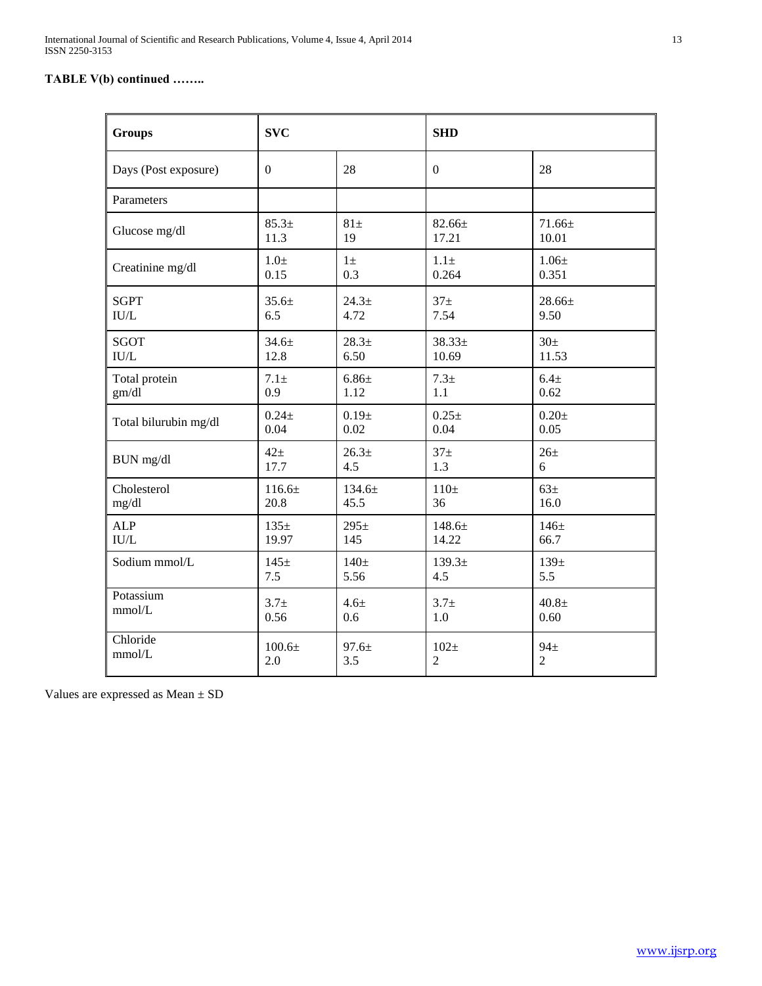# **TABLE V(b) continued ……..**

| <b>Groups</b>                | <b>SVC</b>         |                   | <b>SHD</b>         |                  |  |
|------------------------------|--------------------|-------------------|--------------------|------------------|--|
| Days (Post exposure)         | $\mathbf{0}$       | 28                | $\Omega$           | 28               |  |
| Parameters                   |                    |                   |                    |                  |  |
| Glucose mg/dl                | $85.3+$            | $81\pm$           | $82.66 \pm$        | $71.66 \pm$      |  |
|                              | 11.3               | 19                | 17.21              | 10.01            |  |
| Creatinine mg/dl             | $1.0\pm$           | $1\pm$            | $1.1\pm$           | $1.06\pm$        |  |
|                              | 0.15               | 0.3               | 0.264              | 0.351            |  |
| <b>SGPT</b>                  | $35.6 \pm$         | $24.3+$           | 37 <sub>±</sub>    | $28.66 \pm$      |  |
| IU/L                         | 6.5                | 4.72              | 7.54               | 9.50             |  |
| <b>SGOT</b>                  | $34.6 \pm$         | $28.3+$           | $38.33 \pm$        | 30 <sub>±</sub>  |  |
| IU/L                         | 12.8               | 6.50              | 10.69              | 11.53            |  |
| Total protein                | $7.1 \pm$          | $6.86 \pm$        | 7.3 <sub>±</sub>   | 6.4 <sub>±</sub> |  |
| gm/dl                        | 0.9                | 1.12              | 1.1                | 0.62             |  |
| Total bilurubin mg/dl        | $0.24 \pm$         | $0.19 +$          | $0.25 \pm$         | $0.20 \pm$       |  |
|                              | 0.04               | 0.02              | 0.04               | 0.05             |  |
| BUN mg/dl                    | $42\pm$            | 26.3 <sub>±</sub> | 37 <sub>±</sub>    | $26\pm$          |  |
|                              | 17.7               | 4.5               | 1.3                | 6                |  |
| Cholesterol                  | 116.6±             | $134.6 \pm$       | $110\pm$           | $63\pm$          |  |
| mg/dl                        | 20.8               | 45.5              | 36                 | 16.0             |  |
| <b>ALP</b>                   | $135\pm$           | $295 \pm$         | 148.6±             | 146 <sub>±</sub> |  |
| $\ensuremath{\mathrm{IU/L}}$ | 19.97              | 145               | 14.22              | 66.7             |  |
| Sodium mmol/L                | $145\pm$           | 140 <sub>±</sub>  | 139.3 <sup>±</sup> | 139 <sub>±</sub> |  |
|                              | 7.5                | 5.56              | 4.5                | 5.5              |  |
| Potassium                    | $3.7 +$            | 4.6 <sub>±</sub>  | $3.7 +$            | $40.8 +$         |  |
| mmol/L                       | 0.56               | 0.6               | 1.0                | 0.60             |  |
| Chloride                     | 100.6 <sub>±</sub> | 97.6±             | $102\pm$           | $94\pm$          |  |
| mmol/L                       | 2.0                | 3.5               | $\overline{2}$     | $\overline{2}$   |  |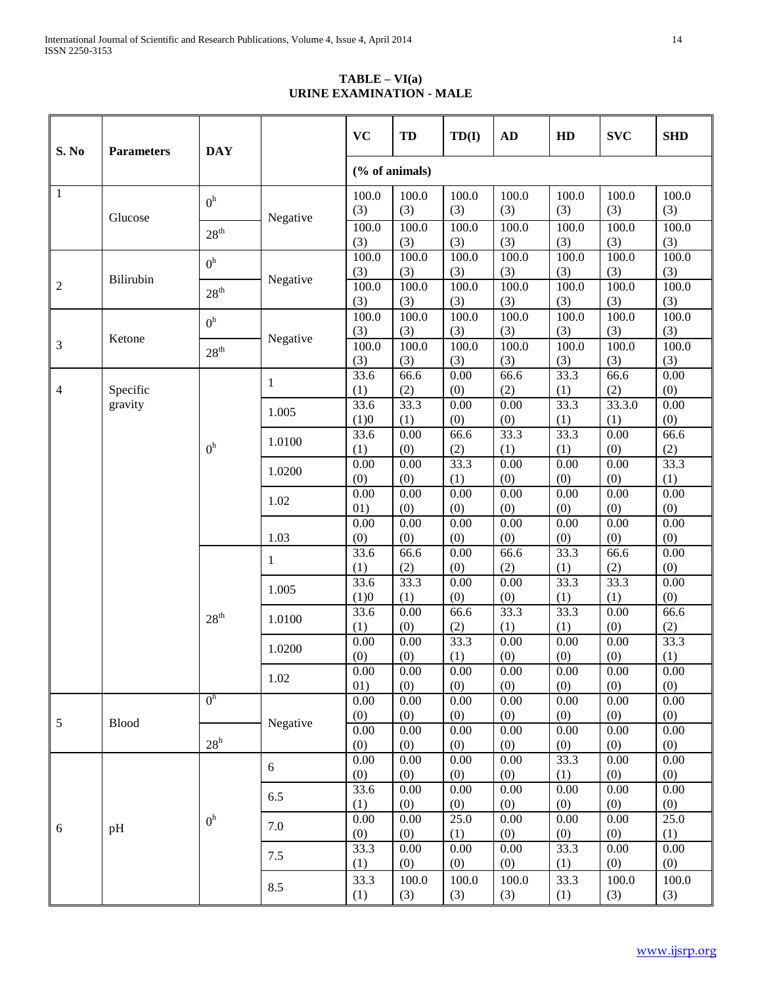**TABLE – VI(a) URINE EXAMINATION - MALE**

| S. No          | <b>DAY</b><br><b>Parameters</b> |                  |              | <b>VC</b>       | TD              | TD(I)           | <b>AD</b>       | HD              | <b>SVC</b>      | <b>SHD</b>      |
|----------------|---------------------------------|------------------|--------------|-----------------|-----------------|-----------------|-----------------|-----------------|-----------------|-----------------|
|                |                                 |                  |              |                 | (% of animals)  |                 |                 |                 |                 |                 |
| $\mathbf{1}$   |                                 | 0 <sup>h</sup>   |              | 100.0<br>(3)    | 100.0<br>(3)    | 100.0<br>(3)    | 100.0<br>(3)    | 100.0<br>(3)    | 100.0<br>(3)    | 100.0<br>(3)    |
|                | Glucose                         | $28^{\rm th}$    | Negative     | 100.0<br>(3)    | 100.0<br>(3)    | 100.0<br>(3)    | 100.0<br>(3)    | 100.0<br>(3)    | 100.0<br>(3)    | 100.0<br>(3)    |
|                |                                 | 0 <sup>h</sup>   |              | 100.0<br>(3)    | 100.0<br>(3)    | 100.0<br>(3)    | 100.0<br>(3)    | 100.0<br>(3)    | 100.0<br>(3)    | 100.0<br>(3)    |
| $\overline{c}$ | Bilirubin                       | $28^{\rm th}$    | Negative     | 100.0<br>(3)    | 100.0<br>(3)    | 100.0<br>(3)    | 100.0<br>(3)    | 100.0<br>(3)    | 100.0<br>(3)    | 100.0<br>(3)    |
|                | Ketone                          | 0 <sup>h</sup>   |              | 100.0<br>(3)    | 100.0<br>(3)    | 100.0<br>(3)    | 100.0<br>(3)    | 100.0<br>(3)    | 100.0<br>(3)    | 100.0<br>(3)    |
| 3              |                                 | $28^{\text{th}}$ | Negative     | 100.0<br>(3)    | 100.0<br>(3)    | 100.0<br>(3)    | 100.0<br>(3)    | 100.0<br>(3)    | 100.0<br>(3)    | 100.0<br>(3)    |
| 4              | Specific                        |                  | $\mathbf{1}$ | 33.6<br>(1)     | 66.6<br>(2)     | 0.00<br>(0)     | 66.6<br>(2)     | 33.3<br>(1)     | 66.6<br>(2)     | 0.00<br>(0)     |
|                | gravity                         |                  | 1.005        | 33.6<br>(1)0    | 33.3<br>(1)     | 0.00<br>(0)     | 0.00<br>(0)     | 33.3<br>(1)     | 33.3.0<br>(1)   | 0.00<br>(0)     |
|                |                                 | 0 <sup>h</sup>   | 1.0100       | 33.6<br>(1)     | 0.00<br>(0)     | 66.6<br>(2)     | 33.3<br>(1)     | 33.3<br>(1)     | 0.00<br>(0)     | 66.6<br>(2)     |
|                |                                 |                  | 1.0200       | 0.00<br>(0)     | 0.00<br>(0)     | 33.3<br>(1)     | 0.00<br>(0)     | 0.00<br>(0)     | 0.00<br>(0)     | 33.3<br>(1)     |
|                |                                 |                  | 1.02         | 0.00<br>01)     | 0.00<br>(0)     | 0.00<br>(0)     | 0.00<br>(0)     | 0.00<br>(0)     | 0.00<br>(0)     | 0.00<br>(0)     |
|                |                                 |                  | 1.03         | 0.00<br>(0)     | 0.00<br>(0)     | 0.00<br>(0)     | 0.00<br>(0)     | 0.00<br>(0)     | 0.00<br>(0)     | 0.00<br>(0)     |
|                |                                 |                  | 1            | 33.6<br>(1)     | 66.6<br>(2)     | 0.00<br>(0)     | 66.6<br>(2)     | 33.3<br>(1)     | 66.6<br>(2)     | 0.00<br>(0)     |
|                |                                 |                  | 1.005        | 33.6<br>(1)0    | 33.3<br>(1)     | 0.00<br>(0)     | 0.00<br>(0)     | 33.3<br>(1)     | 33.3<br>(1)     | 0.00<br>(0)     |
|                |                                 | 28 <sup>th</sup> | 1.0100       | 33.6<br>(1)     | 0.00<br>(0)     | 66.6<br>(2)     | 33.3<br>(1)     | 33.3<br>(1)     | 0.00<br>(0)     | 66.6<br>(2)     |
|                |                                 |                  | 1.0200       | 0.00<br>(0)     | 0.00<br>(0)     | 33.3<br>(1)     | 0.00<br>(0)     | 0.00<br>(0)     | 0.00<br>(0)     | 33.3<br>(1)     |
|                |                                 |                  | 1.02         | $0.00\,$<br>01) | $0.00\,$<br>(0) | $0.00\,$<br>(0) | $0.00\,$<br>(0) | $0.00\,$<br>(0) | $0.00\,$<br>(0) | $0.00\,$<br>(0) |
| 5              | <b>Blood</b>                    | 0 <sup>h</sup>   | Negative     | 0.00<br>(0)     | 0.00<br>(0)     | 0.00<br>(0)     | 0.00<br>(0)     | 0.00<br>(0)     | 0.00<br>(0)     | 0.00<br>(0)     |
|                |                                 | 28 <sup>h</sup>  |              | 0.00<br>(0)     | 0.00<br>(0)     | 0.00<br>(0)     | 0.00<br>(0)     | 0.00<br>(0)     | 0.00<br>(0)     | 0.00<br>(0)     |
|                |                                 |                  | $6\,$        | 0.00<br>(0)     | 0.00<br>(0)     | 0.00<br>(0)     | 0.00<br>(0)     | 33.3<br>(1)     | 0.00<br>(0)     | 0.00<br>(0)     |
|                |                                 |                  | 6.5          | 33.6<br>(1)     | 0.00<br>(0)     | 0.00<br>(0)     | 0.00<br>(0)     | 0.00<br>(0)     | 0.00<br>(0)     | 0.00<br>(0)     |
| 6              | pH                              | 0 <sup>h</sup>   | 7.0          | 0.00<br>(0)     | 0.00<br>(0)     | 25.0<br>(1)     | 0.00<br>(0)     | 0.00<br>(0)     | 0.00<br>(0)     | 25.0<br>(1)     |
|                |                                 |                  | 7.5          | 33.3<br>(1)     | 0.00<br>(0)     | 0.00<br>(0)     | 0.00<br>(0)     | 33.3<br>(1)     | 0.00<br>(0)     | 0.00<br>(0)     |
|                |                                 |                  | 8.5          | 33.3<br>(1)     | 100.0<br>(3)    | 100.0<br>(3)    | 100.0<br>(3)    | 33.3<br>(1)     | 100.0<br>(3)    | 100.0<br>(3)    |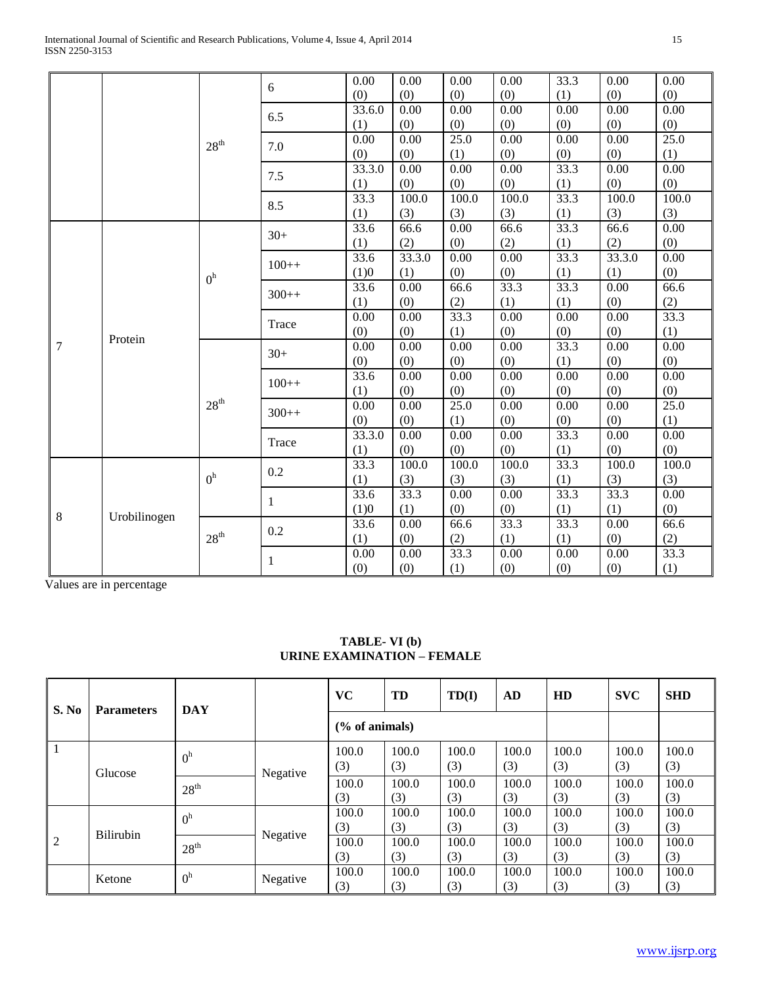|   |                   |                  | 6       | 0.00   | 0.00   | 0.00     | 0.00     | 33.3 | 0.00     | 0.00     |
|---|-------------------|------------------|---------|--------|--------|----------|----------|------|----------|----------|
|   |                   |                  |         | (0)    | (0)    | (0)      | (0)      | (1)  | (0)      | (0)      |
|   |                   |                  | 6.5     | 33.6.0 | 0.00   | 0.00     | $0.00\,$ | 0.00 | $0.00\,$ | 0.00     |
|   |                   |                  |         | (1)    | (0)    | (0)      | (0)      | (0)  | (0)      | (0)      |
|   |                   | $28^{\text{th}}$ | 7.0     | 0.00   | 0.00   | 25.0     | 0.00     | 0.00 | 0.00     | 25.0     |
|   |                   |                  |         | (0)    | (0)    | (1)      | (0)      | (0)  | (0)      | (1)      |
|   |                   |                  | 7.5     | 33.3.0 | 0.00   | 0.00     | 0.00     | 33.3 | 0.00     | 0.00     |
|   |                   |                  |         | (1)    | (0)    | (0)      | (0)      | (1)  | (0)      | (0)      |
|   |                   |                  | 8.5     | 33.3   | 100.0  | 100.0    | 100.0    | 33.3 | 100.0    | 100.0    |
|   |                   |                  |         | (1)    | (3)    | (3)      | (3)      | (1)  | (3)      | (3)      |
|   |                   |                  | $30+$   | 33.6   | 66.6   | 0.00     | 66.6     | 33.3 | 66.6     | 0.00     |
|   |                   |                  |         | (1)    | (2)    | (0)      | (2)      | (1)  | (2)      | (0)      |
|   |                   |                  | $100++$ | 33.6   | 33.3.0 | 0.00     | $0.00\,$ | 33.3 | 33.3.0   | 0.00     |
|   |                   | 0 <sup>h</sup>   |         | (1)0   | (1)    | (0)      | (0)      | (1)  | (1)      | (0)      |
|   |                   | $300++$          | 33.6    | 0.00   | 66.6   | 33.3     | 33.3     | 0.00 | 66.6     |          |
|   |                   |                  | (1)     | (0)    | (2)    | (1)      | (1)      | (0)  | (2)      |          |
|   |                   |                  | Trace   | 0.00   | 0.00   | 33.3     | 0.00     | 0.00 | $0.00\,$ | 33.3     |
|   | Protein           |                  |         | (0)    | (0)    | (1)      | (0)      | (0)  | (0)      | (1)      |
| 7 |                   |                  | $30+$   | 0.00   | 0.00   | 0.00     | 0.00     | 33.3 | 0.00     | 0.00     |
|   |                   |                  |         | (0)    | (0)    | (0)      | (0)      | (1)  | (0)      | (0)      |
|   |                   |                  | $100++$ | 33.6   | 0.00   | 0.00     | 0.00     | 0.00 | 0.00     | 0.00     |
|   |                   |                  |         | (1)    | (0)    | (0)      | (0)      | (0)  | (0)      | (0)      |
|   |                   | $28^{\rm th}$    | $300++$ | 0.00   | 0.00   | 25.0     | 0.00     | 0.00 | 0.00     | 25.0     |
|   |                   |                  |         | (0)    | (0)    | (1)      | (0)      | (0)  | (0)      | (1)      |
|   |                   |                  | Trace   | 33.3.0 | 0.00   | 0.00     | 0.00     | 33.3 | 0.00     | 0.00     |
|   |                   |                  |         | (1)    | (0)    | (0)      | (0)      | (1)  | (0)      | (0)      |
|   |                   |                  | 0.2     | 33.3   | 100.0  | 100.0    | 100.0    | 33.3 | 100.0    | 100.0    |
|   |                   | 0 <sup>h</sup>   |         | (1)    | (3)    | (3)      | (3)      | (1)  | (3)      | (3)      |
|   | 8<br>Urobilinogen |                  | 1       | 33.6   | 33.3   | $0.00\,$ | $0.00\,$ | 33.3 | 33.3     | $0.00\,$ |
|   |                   |                  |         | (1)0   | (1)    | (0)      | (0)      | (1)  | (1)      | (0)      |
|   |                   |                  | 0.2     | 33.6   | 0.00   | 66.6     | 33.3     | 33.3 | 0.00     | 66.6     |
|   |                   | $28^{\text{th}}$ |         | (1)    | (0)    | (2)      | (1)      | (1)  | (0)      | (2)      |
|   |                   |                  | 1       | 0.00   | 0.00   | 33.3     | 0.00     | 0.00 | 0.00     | 33.3     |
|   |                   |                  | (0)     | (0)    | (1)    | (0)      | (0)      | (0)  | (1)      |          |

Values are in percentage

| S. No<br><b>Parameters</b> |                  | <b>DAY</b>       |          | <b>VC</b>         | TD           | TD(I)        | AD           | HD           | <b>SVC</b>   | <b>SHD</b>   |
|----------------------------|------------------|------------------|----------|-------------------|--------------|--------------|--------------|--------------|--------------|--------------|
|                            |                  |                  |          | $(\%$ of animals) |              |              |              |              |              |              |
|                            | Glucose          | 0 <sup>h</sup>   | Negative | 100.0<br>(3)      | 100.0<br>(3) | 100.0<br>(3) | 100.0<br>(3) | 100.0<br>(3) | 100.0<br>(3) | 100.0<br>(3) |
|                            |                  | 28 <sup>th</sup> |          | 100.0<br>(3)      | 100.0<br>(3) | 100.0<br>(3) | 100.0<br>(3) | 100.0<br>(3) | 100.0<br>(3) | 100.0<br>(3) |
|                            | <b>Bilirubin</b> | 0 <sup>h</sup>   |          | 100.0<br>(3)      | 100.0<br>(3) | 100.0<br>(3) | 100.0<br>(3) | 100.0<br>(3) | 100.0<br>(3) | 100.0<br>(3) |
| $\overline{2}$             |                  | 28 <sup>th</sup> | Negative | 100.0<br>(3)      | 100.0<br>(3) | 100.0<br>(3) | 100.0<br>(3) | 100.0<br>(3) | 100.0<br>(3) | 100.0<br>(3) |
|                            | Ketone           | 0 <sup>h</sup>   | Negative | 100.0<br>(3)      | 100.0<br>(3) | 100.0<br>(3) | 100.0<br>(3) | 100.0<br>(3) | 100.0<br>(3) | 100.0<br>(3) |

# **TABLE- VI (b) URINE EXAMINATION – FEMALE**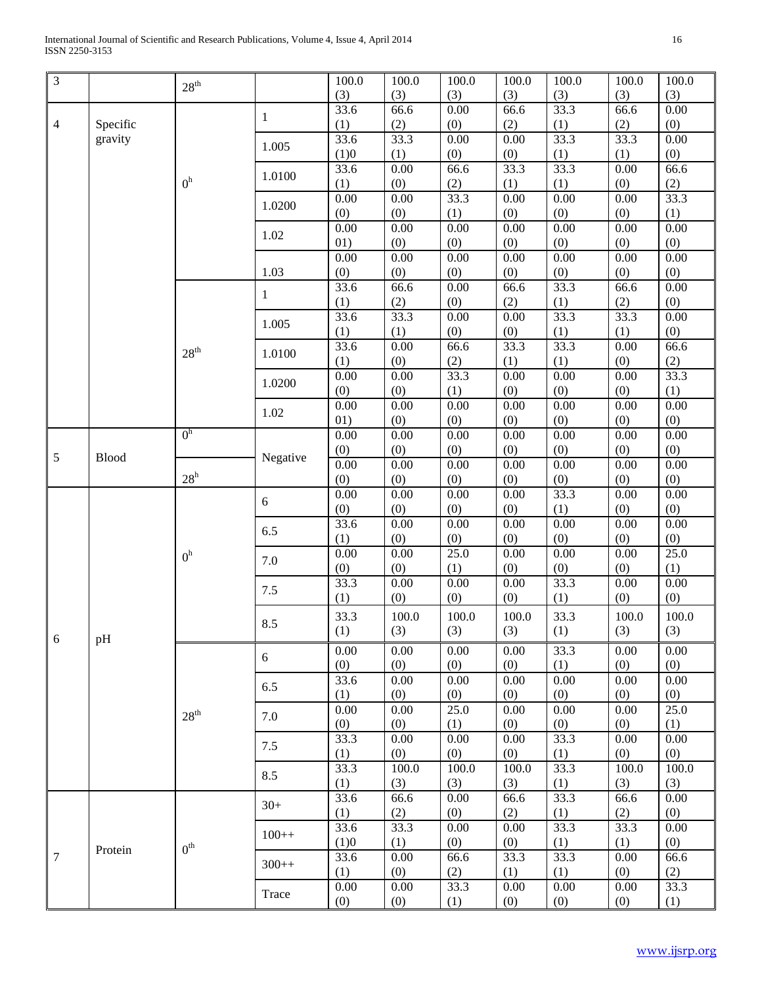| $\mathfrak{Z}$   |              |                  |          | 100.0            | 100.0             | 100.0 | 100.0 | 100.0    | 100.0 | 100.0 |
|------------------|--------------|------------------|----------|------------------|-------------------|-------|-------|----------|-------|-------|
|                  |              | 28 <sup>th</sup> |          | (3)              | (3)               | (3)   | (3)   | (3)      | (3)   | (3)   |
|                  |              |                  |          | $\frac{1}{33.6}$ | 66.6              | 0.00  | 66.6  | 33.3     | 66.6  | 0.00  |
| $\overline{4}$   | Specific     |                  | 1        |                  | (2)               | (0)   | (2)   | (1)      | (2)   | (0)   |
|                  | gravity      |                  |          | (1)<br>33.6      | $\overline{33.3}$ | 0.00  | 0.00  | 33.3     | 33.3  | 0.00  |
|                  |              |                  | 1.005    |                  |                   |       |       |          |       |       |
|                  |              |                  |          | (1)0             | (1)               | (0)   | (0)   | (1)      | (1)   | (0)   |
|                  |              | 0 <sup>h</sup>   | 1.0100   | 33.6             | 0.00              | 66.6  | 33.3  | 33.3     | 0.00  | 66.6  |
|                  |              |                  |          | (1)              | (0)               | (2)   | (1)   | (1)      | (0)   | (2)   |
|                  |              |                  | 1.0200   | 0.00             | 0.00              | 33.3  | 0.00  | 0.00     | 0.00  | 33.3  |
|                  |              |                  |          | (0)              | (0)               | (1)   | (0)   | (0)      | (0)   | (1)   |
|                  |              |                  | 1.02     | 0.00             | 0.00              | 0.00  | 0.00  | 0.00     | 0.00  | 0.00  |
|                  |              |                  |          | 01)              | (0)               | (0)   | (0)   | (0)      | (0)   | (0)   |
|                  |              |                  |          | 0.00             | 0.00              | 0.00  | 0.00  | 0.00     | 0.00  | 0.00  |
|                  |              |                  | 1.03     | (0)              | (0)               | (0)   | (0)   | (0)      | (0)   | (0)   |
|                  |              |                  | 1        | 33.6             | 66.6              | 0.00  | 66.6  | 33.3     | 66.6  | 0.00  |
|                  |              |                  |          | (1)              | (2)               | (0)   | (2)   | (1)      | (2)   | (0)   |
|                  |              |                  | 1.005    | 33.6             | 33.3              | 0.00  | 0.00  | 33.3     | 33.3  | 0.00  |
|                  |              |                  |          | (1)              | (1)               | (0)   | (0)   | (1)      | (1)   | (0)   |
|                  |              | 28 <sup>th</sup> | 1.0100   | 33.6             | 0.00              | 66.6  | 33.3  | 33.3     | 0.00  | 66.6  |
|                  |              |                  |          | (1)              | (0)               | (2)   | (1)   | (1)      | (0)   | (2)   |
|                  |              |                  | 1.0200   | 0.00             | 0.00              | 33.3  | 0.00  | 0.00     | 0.00  | 33.3  |
|                  |              |                  |          | (0)              | (0)               | (1)   | (0)   | (0)      | (0)   | (1)   |
|                  |              |                  | 1.02     | 0.00             | 0.00              | 0.00  | 0.00  | 0.00     | 0.00  | 0.00  |
|                  |              |                  |          | 01)              | (0)               | (0)   | (0)   | (0)      | (0)   | (0)   |
|                  |              | 0 <sup>h</sup>   |          | 0.00             | 0.00              | 0.00  | 0.00  | 0.00     | 0.00  | 0.00  |
| 5                | <b>Blood</b> |                  | Negative | (0)              | (0)               | (0)   | (0)   | (0)      | (0)   | (0)   |
|                  |              |                  |          | 0.00             | 0.00              | 0.00  | 0.00  | 0.00     | 0.00  | 0.00  |
|                  |              | $28^h$           |          | (0)              | (0)               | (0)   | (0)   | (0)      | (0)   | (0)   |
|                  |              |                  | 6        | 0.00             | 0.00              | 0.00  | 0.00  | 33.3     | 0.00  | 0.00  |
|                  |              |                  |          | (0)              | (0)               | (0)   | (0)   | (1)      | (0)   | (0)   |
|                  |              |                  | 6.5      | 33.6             | 0.00              | 0.00  | 0.00  | 0.00     | 0.00  | 0.00  |
|                  |              |                  |          | (1)              | (0)               | (0)   | (0)   | (0)      | (0)   | (0)   |
|                  |              | 0 <sup>h</sup>   | 7.0      | 0.00             | 0.00              | 25.0  | 0.00  | 0.00     | 0.00  | 25.0  |
|                  |              |                  |          | (0)              | (0)               | (1)   | (0)   | (0)      | (0)   | (1)   |
|                  |              |                  | 7.5      | 33.3             | 0.00              | 0.00  | 0.00  | 33.3     | 0.00  | 0.00  |
|                  |              |                  |          | (1)              | (0)               | (0)   | (0)   | (1)      | (0)   | (0)   |
|                  |              |                  |          | 33.3             | 100.0             | 100.0 | 100.0 | 33.3     | 100.0 | 100.0 |
|                  |              |                  | 8.5      | (1)              | (3)               | (3)   | (3)   | (1)      | (3)   | (3)   |
| 6                | pH           |                  |          | 0.00             | 0.00              | 0.00  | 0.00  | 33.3     | 0.00  | 0.00  |
|                  |              |                  | 6        | (0)              | (0)               | (0)   | (0)   | (1)      | (0)   | (0)   |
|                  |              |                  |          | 33.6             | 0.00              | 0.00  | 0.00  | 0.00     | 0.00  | 0.00  |
|                  |              |                  | 6.5      | (1)              | (0)               | (0)   | (0)   | (0)      | (0)   | (0)   |
|                  |              |                  |          | 0.00             | 0.00              | 25.0  | 0.00  | 0.00     | 0.00  | 25.0  |
|                  |              | 28 <sup>th</sup> | 7.0      | (0)              | (0)               | (1)   | (0)   | (0)      | (0)   | (1)   |
|                  |              |                  |          | 33.3             | 0.00              | 0.00  | 0.00  | 33.3     | 0.00  | 0.00  |
|                  |              |                  | 7.5      | (1)              | (0)               | (0)   | (0)   | (1)      | (0)   | (0)   |
|                  |              |                  |          | 33.3             | 100.0             | 100.0 | 100.0 | 33.3     | 100.0 | 100.0 |
|                  |              |                  | 8.5      | (1)              | (3)               | (3)   | (3)   | (1)      | (3)   | (3)   |
|                  |              |                  |          | 33.6             | 66.6              | 0.00  | 66.6  | 33.3     | 66.6  | 0.00  |
|                  |              |                  | $30+$    | (1)              | (2)               | (0)   | (2)   | (1)      | (2)   | (0)   |
|                  |              |                  |          | 33.6             | 33.3              | 0.00  | 0.00  | 33.3     | 33.3  | 0.00  |
|                  |              |                  | $100++$  | (1)0             | (1)               | (0)   | (0)   | (1)      | (1)   | (0)   |
| $\boldsymbol{7}$ | Protein      | 0 <sup>th</sup>  |          | 33.6             | 0.00              | 66.6  | 33.3  | 33.3     | 0.00  | 66.6  |
|                  |              |                  | $300++$  | (1)              | (0)               | (2)   | (1)   | (1)      | (0)   | (2)   |
|                  |              |                  |          | 0.00             | 0.00              | 33.3  | 0.00  | $0.00\,$ | 0.00  | 33.3  |
|                  |              |                  | Trace    |                  |                   |       |       |          |       |       |
|                  |              |                  |          | (0)              | (0)               | (1)   | (0)   | (0)      | (0)   | (1)   |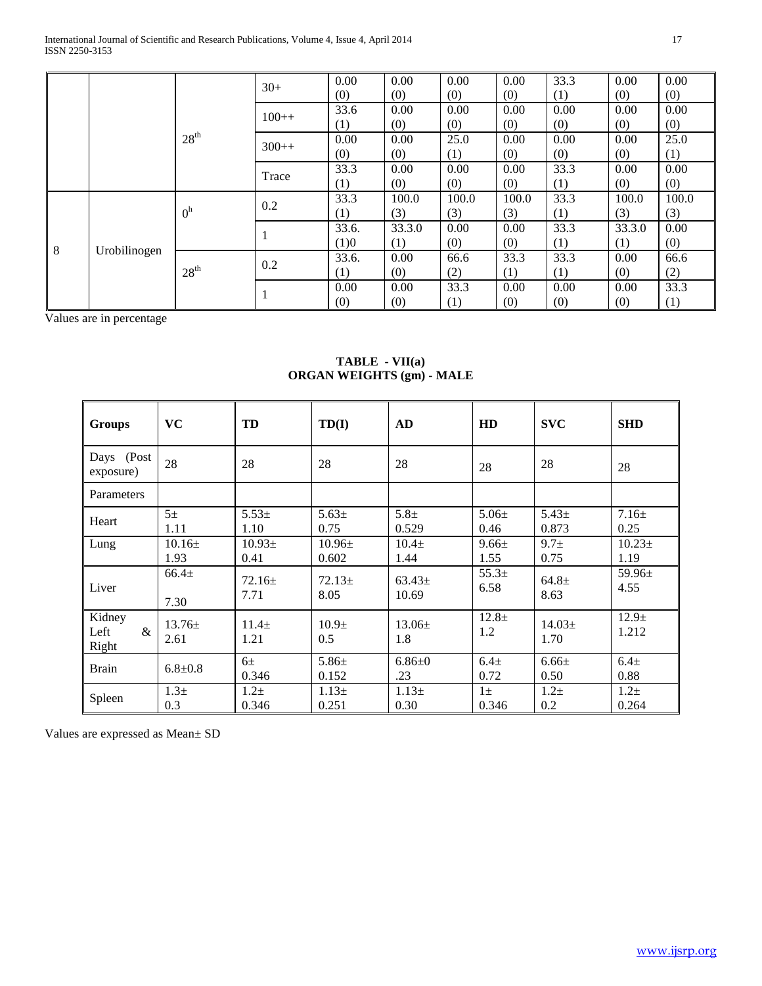International Journal of Scientific and Research Publications, Volume 4, Issue 4, April 2014 17 ISSN 2250-3153

|  |                   |                  | $30+$   | 0.00  | 0.00   | 0.00  | 0.00  | 33.3 | 0.00   | 0.00  |
|--|-------------------|------------------|---------|-------|--------|-------|-------|------|--------|-------|
|  |                   |                  |         | (0)   | (0)    | (0)   | (0)   | (1)  | (0)    | (0)   |
|  |                   |                  | $100++$ | 33.6  | 0.00   | 0.00  | 0.00  | 0.00 | 0.00   | 0.00  |
|  |                   | 28 <sup>th</sup> |         | (1)   | (0)    | (0)   | (0)   | (0)  | (0)    | (0)   |
|  |                   |                  | $300++$ | 0.00  | 0.00   | 25.0  | 0.00  | 0.00 | 0.00   | 25.0  |
|  |                   |                  |         | (0)   | (0)    | (1)   | (0)   | (0)  | (0)    | (1)   |
|  |                   |                  | Trace   | 33.3  | 0.00   | 0.00  | 0.00  | 33.3 | 0.00   | 0.00  |
|  |                   |                  |         | (1)   | (0)    | (0)   | (0)   | (1)  | (0)    | (0)   |
|  |                   | 0 <sup>h</sup>   | 0.2     | 33.3  | 100.0  | 100.0 | 100.0 | 33.3 | 100.0  | 100.0 |
|  |                   |                  |         | (1)   | (3)    | (3)   | (3)   | (1)  | (3)    | (3)   |
|  |                   |                  | 1       | 33.6. | 33.3.0 | 0.00  | 0.00  | 33.3 | 33.3.0 | 0.00  |
|  | 8<br>Urobilinogen |                  |         | (1)0  | (1)    | (0)   | (0)   | (1)  | (1)    | (0)   |
|  |                   |                  | 0.2     | 33.6. | 0.00   | 66.6  | 33.3  | 33.3 | 0.00   | 66.6  |
|  |                   | 28 <sup>th</sup> |         | (1)   | (0)    | (2)   | (1)   | (1)  | (0)    | (2)   |
|  |                   |                  | 1       | 0.00  | 0.00   | 33.3  | 0.00  | 0.00 | 0.00   | 33.3  |
|  |                   |                  |         | (0)   | (0)    | (1)   | (0)   | (0)  | (0)    | (1)   |

Values are in percentage

## **TABLE - VII(a) ORGAN WEIGHTS (gm) - MALE**

| <b>Groups</b>                | <b>VC</b>               | TD                      | TD(I)                    | <b>AD</b>           | HD                 | <b>SVC</b>         | <b>SHD</b>          |
|------------------------------|-------------------------|-------------------------|--------------------------|---------------------|--------------------|--------------------|---------------------|
| Days (Post<br>exposure)      | 28                      | 28                      | 28                       | 28                  | 28                 | 28                 | 28                  |
| Parameters                   |                         |                         |                          |                     |                    |                    |                     |
| Heart                        | $5+$<br>1.11            | $5.53+$<br>1.10         | $5.63\pm$<br>0.75        | $5.8\pm$<br>0.529   | $5.06\pm$<br>0.46  | $5.43\pm$<br>0.873 | $7.16 \pm$<br>0.25  |
| Lung                         | $10.16\pm$<br>1.93      | $10.93\pm$<br>0.41      | $10.96\pm$<br>0.602      | $10.4\pm$<br>1.44   | $9.66 \pm$<br>1.55 | $9.7 +$<br>0.75    | $10.23 \pm$<br>1.19 |
| Liver                        | $66.4+$<br>7.30         | $72.16 \pm$<br>7.71     | $72.13 \pm$<br>8.05      | $63.43\pm$<br>10.69 | $55.3+$<br>6.58    | $64.8 \pm$<br>8.63 | $59.96\pm$<br>4.55  |
| Kidney<br>Left<br>&<br>Right | $13.76\pm$<br>2.61      | $11.4\pm$<br>1.21       | 10.9 <sub>±</sub><br>0.5 | $13.06\pm$<br>1.8   | $12.8 +$<br>1.2    | $14.03\pm$<br>1.70 | $12.9 +$<br>1.212   |
| <b>Brain</b>                 | $6.8 \pm 0.8$           | 6 <sup>±</sup><br>0.346 | $5.86 \pm$<br>0.152      | $6.86 + 0$<br>.23   | $6.4\pm$<br>0.72   | $6.66 \pm$<br>0.50 | $6.4\pm$<br>0.88    |
| Spleen                       | 1.3 <sub>±</sub><br>0.3 | $1.2\pm$<br>0.346       | $1.13 \pm$<br>0.251      | $1.13+$<br>0.30     | $1\pm$<br>0.346    | $1.2\pm$<br>0.2    | $1.2\pm$<br>0.264   |